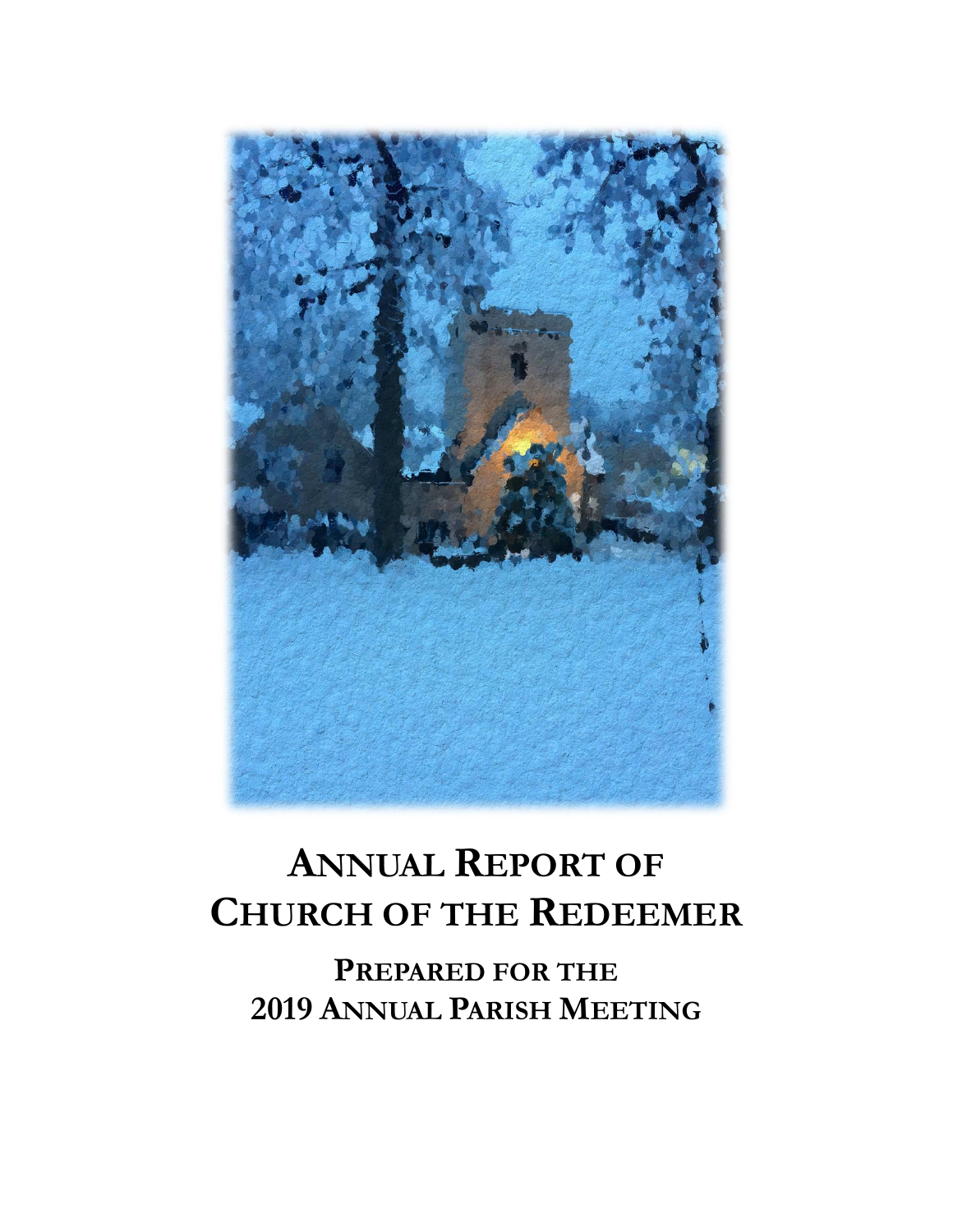

# **ANNUAL REPORT OF CHURCH OF THE REDEEMER**

**PREPARED FOR THE 2019 ANNUAL PARISH MEETING**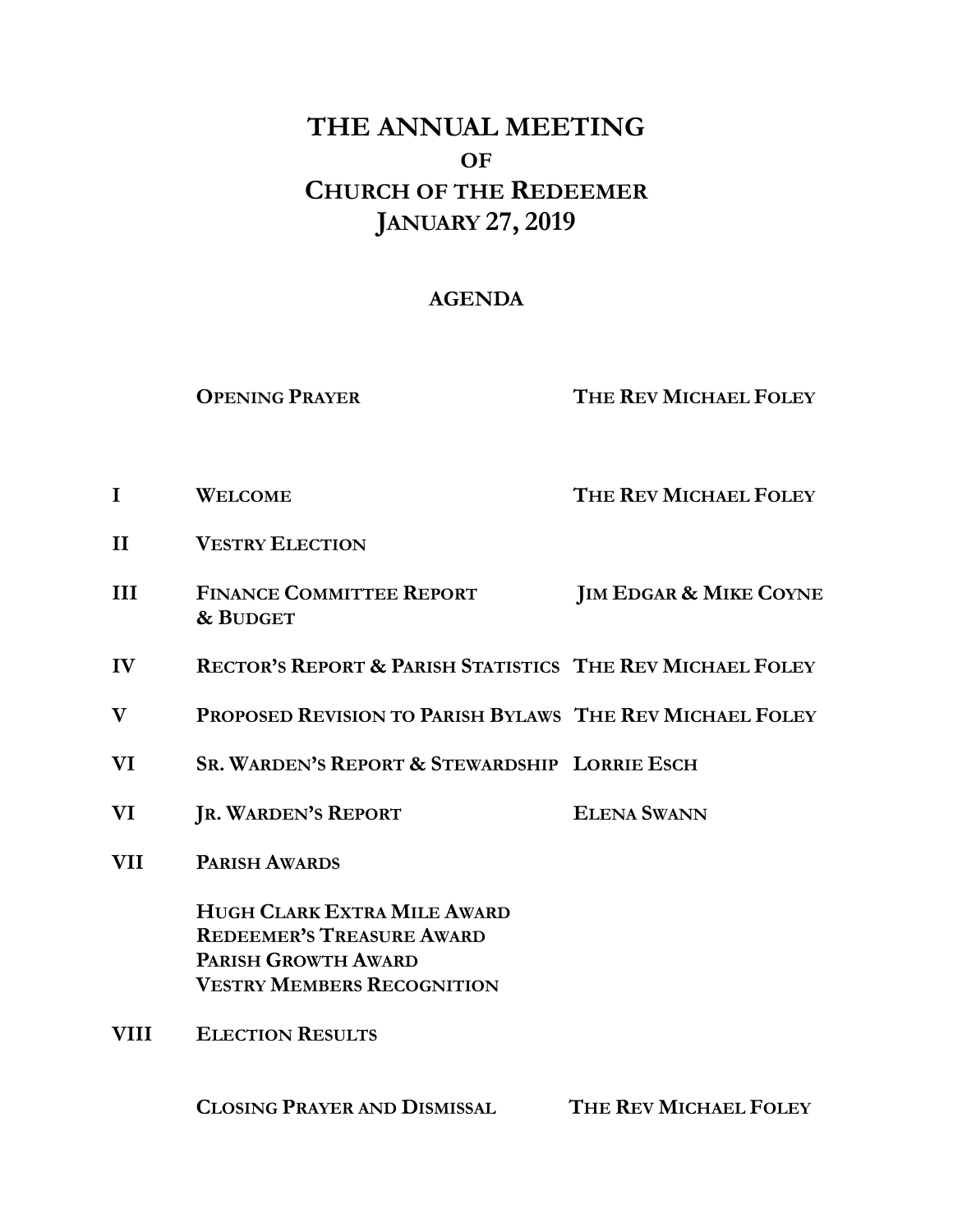## **THE ANNUAL MEETING OF CHURCH OF THE REDEEMER JANUARY 27, 2019**

## **AGENDA**

**OPENING PRAYER THE REV MICHAEL FOLEY**

- **I WELCOME THE REV MICHAEL FOLEY**
- **II VESTRY ELECTION**
- **III FINANCE COMMITTEE REPORT JIM EDGAR & MIKE COYNE & BUDGET**
- **IV RECTOR'S REPORT & PARISH STATISTICS THE REV MICHAEL FOLEY**
- **V PROPOSED REVISION TO PARISH BYLAWS THE REV MICHAEL FOLEY**
- **VI SR. WARDEN'S REPORT & STEWARDSHIP LORRIE ESCH**
- **VI JR. WARDEN'S REPORT ELENA SWANN**
- **VII PARISH AWARDS**

**HUGH CLARK EXTRA MILE AWARD REDEEMER'S TREASURE AWARD PARISH GROWTH AWARD VESTRY MEMBERS RECOGNITION** 

**VIII ELECTION RESULTS** 

**CLOSING PRAYER AND DISMISSAL THE REV MICHAEL FOLEY**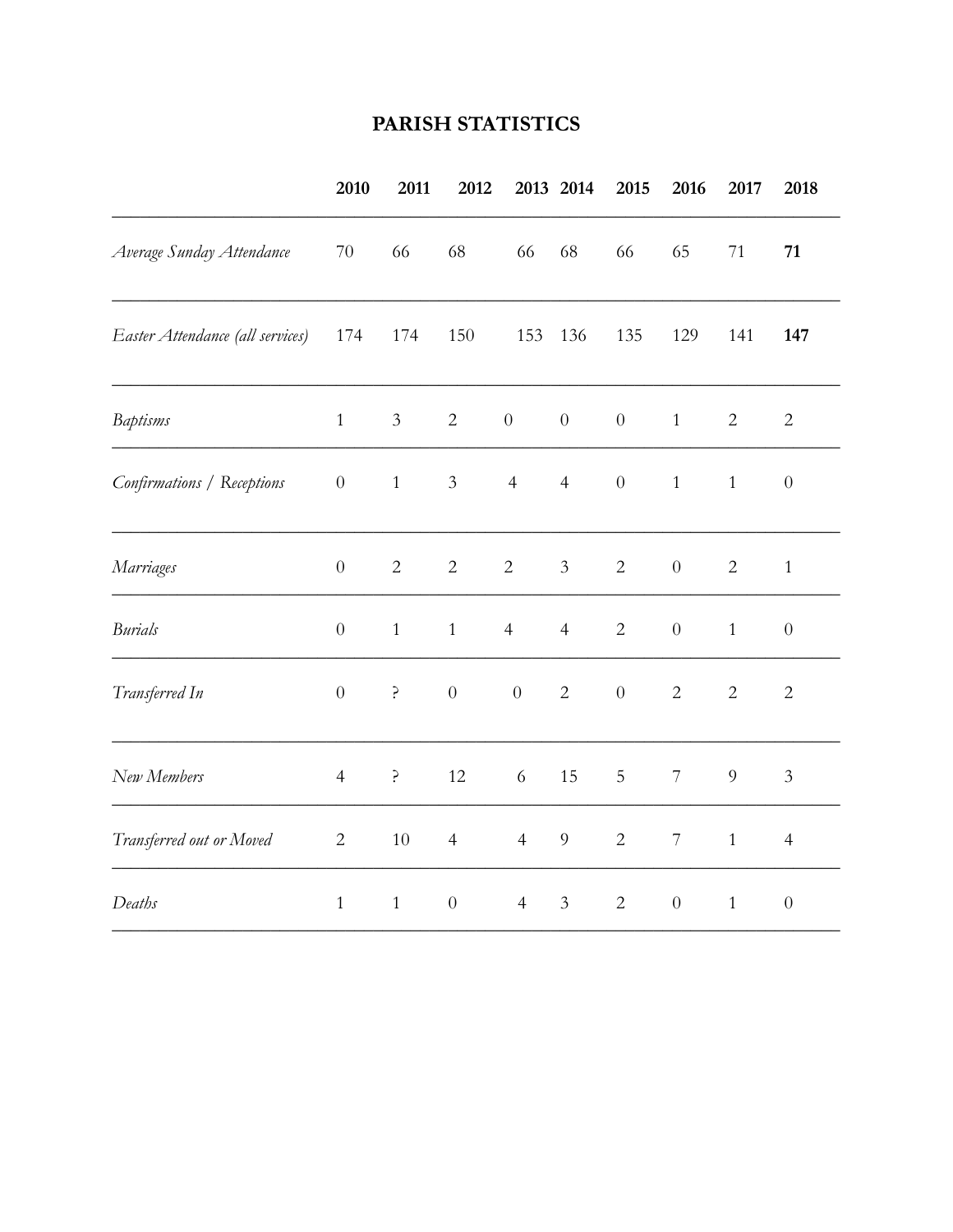## PARISH STATISTICS

|                                  | 2010             | 2011           | 2012             |                  | 2013 2014        | 2015             | 2016             | 2017           | 2018             |
|----------------------------------|------------------|----------------|------------------|------------------|------------------|------------------|------------------|----------------|------------------|
| Average Sunday Attendance        | 70               | 66             | 68               | 66               | 68               | 66               | 65               | 71             | 71               |
| Easter Attendance (all services) | 174              | 174            | 150              | 153              | 136              | 135              | 129              | 141            | 147              |
| <b>Baptisms</b>                  | $\mathbf{1}$     | $\mathfrak{Z}$ | $\overline{2}$   | $\boldsymbol{0}$ | $\boldsymbol{0}$ | $\boldsymbol{0}$ | $\mathbf{1}$     | $\overline{2}$ | $\sqrt{2}$       |
| Confirmations / Receptions       | $\boldsymbol{0}$ | $\,1$          | $\mathfrak{Z}$   | $\overline{4}$   | $\overline{4}$   | $\boldsymbol{0}$ | $\mathbf{1}$     | $1\,$          | $\boldsymbol{0}$ |
| Marriages                        | $\boldsymbol{0}$ | $\sqrt{2}$     | $\sqrt{2}$       | $\sqrt{2}$       | $\mathfrak{Z}$   | $\mathbf{2}$     | $\boldsymbol{0}$ | $\overline{2}$ | $\mathbf{1}$     |
| <b>Burials</b>                   | $\boldsymbol{0}$ | $\mathbf{1}$   | $\mathbf{1}$     | $\overline{4}$   | $\overline{4}$   | $\overline{2}$   | $\boldsymbol{0}$ | $\mathbf{1}$   | $\boldsymbol{0}$ |
| Transferred In                   | $\boldsymbol{0}$ | ?              | $\boldsymbol{0}$ | $\boldsymbol{0}$ | $\overline{2}$   | $\boldsymbol{0}$ | $\mathbf{2}$     | $\overline{2}$ | $\sqrt{2}$       |
| New Members                      | $\overline{4}$   | ?              | 12               | $\sqrt{6}$       | 15               | $\mathsf S$      | $7\phantom{.}$   | 9              | $\mathfrak{Z}$   |
| Transferred out or Moved         | $\overline{c}$   | $10\,$         | $\overline{4}$   | $\overline{4}$   | $\overline{9}$   | $\overline{2}$   | $\overline{7}$   | $\mathbf{1}$   | $\overline{4}$   |
| Deaths                           | $\mathbf{1}$     | $\mathbf{1}$   | $\boldsymbol{0}$ | $\overline{4}$   | $\mathfrak{Z}$   | $\overline{2}$   | $\boldsymbol{0}$ | $\mathbf{1}$   | $\boldsymbol{0}$ |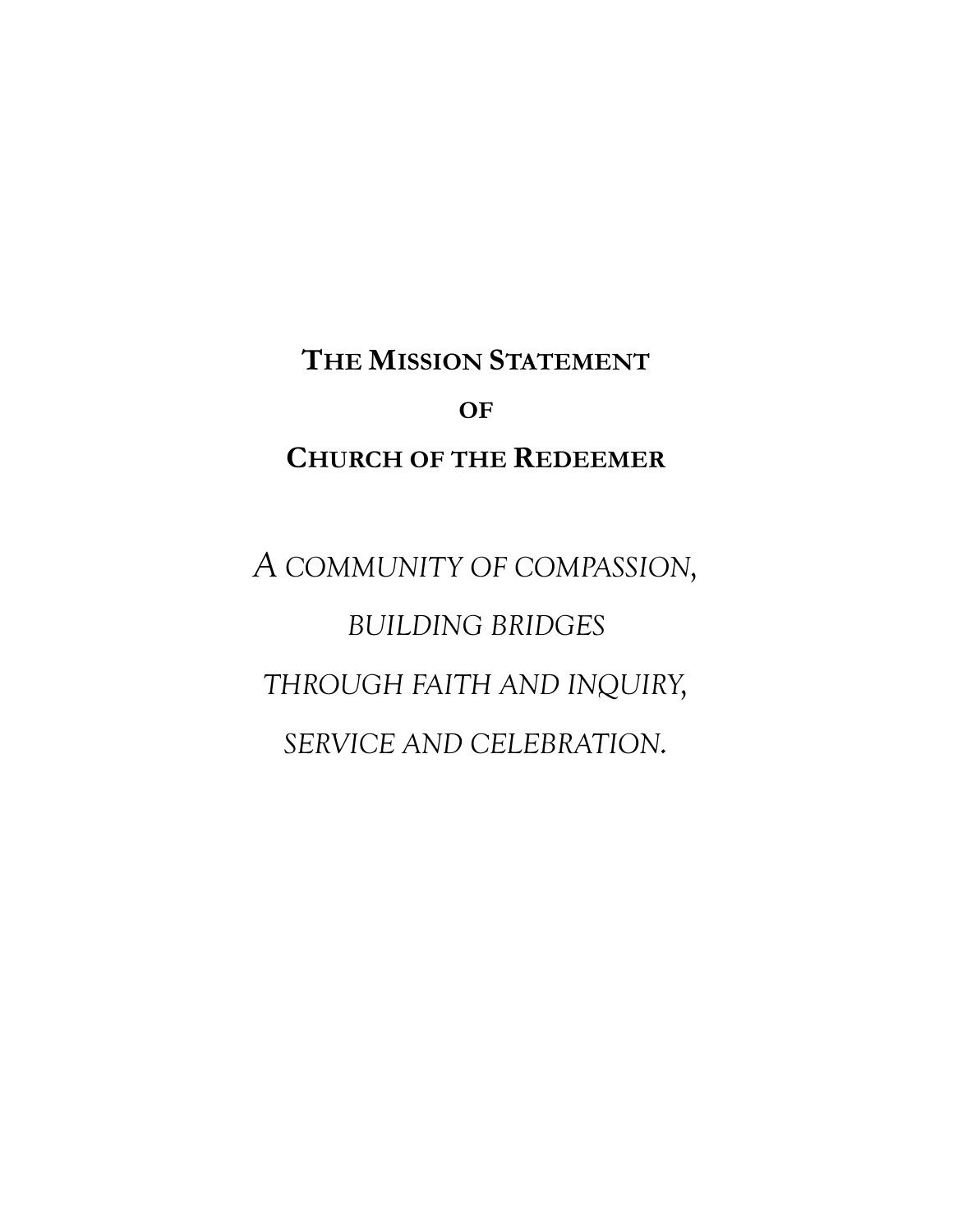## **THE MISSION STATEMENT OF CHURCH OF THE REDEEMER**

*A COMMUNITY OF COMPASSION, BUILDING BRIDGES THROUGH FAITH AND INQUIRY, SERVICE AND CELEBRATION.*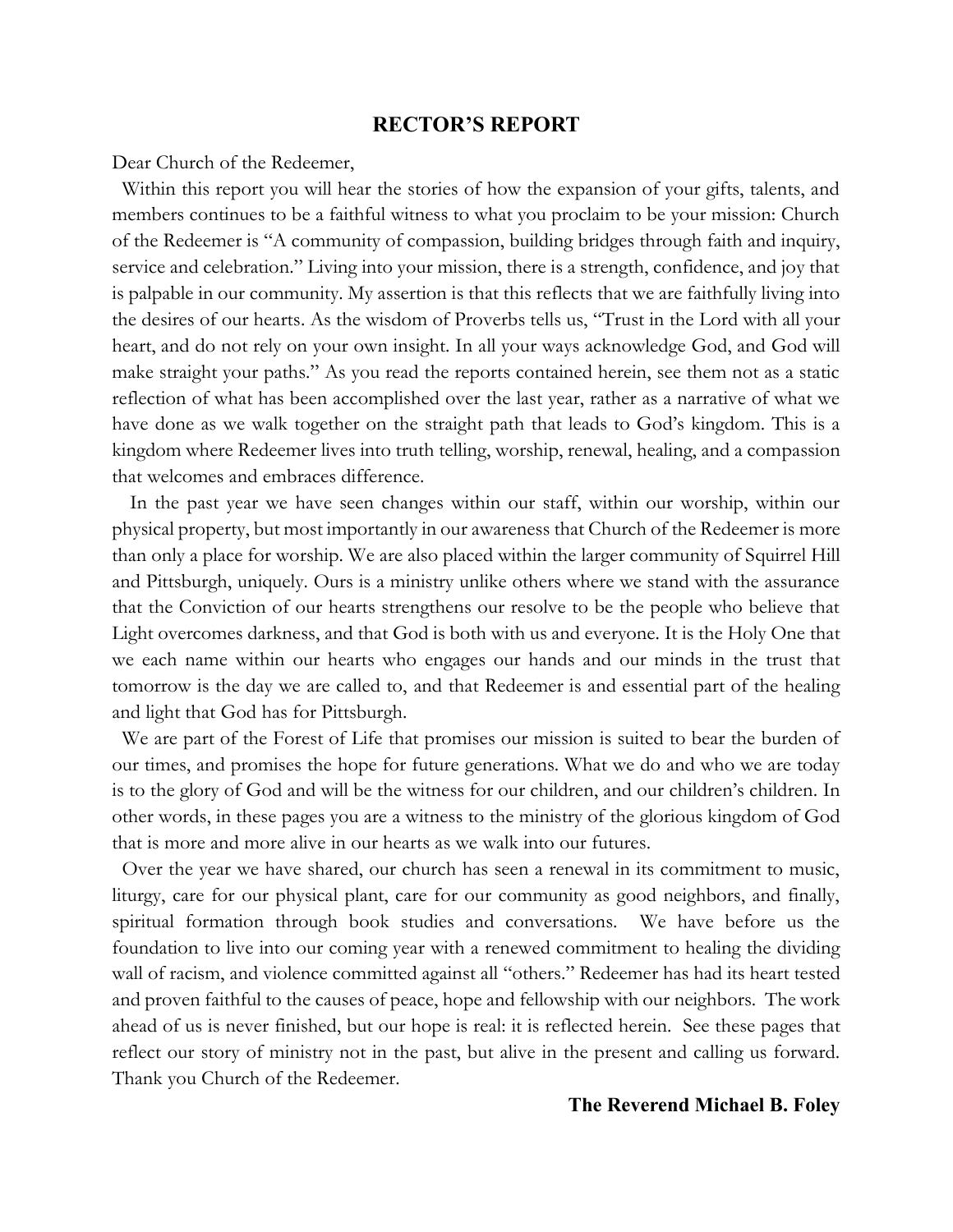#### **RECTOR'S REPORT**

Dear Church of the Redeemer,

 Within this report you will hear the stories of how the expansion of your gifts, talents, and members continues to be a faithful witness to what you proclaim to be your mission: Church of the Redeemer is "A community of compassion, building bridges through faith and inquiry, service and celebration." Living into your mission, there is a strength, confidence, and joy that is palpable in our community. My assertion is that this reflects that we are faithfully living into the desires of our hearts. As the wisdom of Proverbs tells us, "Trust in the Lord with all your heart, and do not rely on your own insight. In all your ways acknowledge God, and God will make straight your paths." As you read the reports contained herein, see them not as a static reflection of what has been accomplished over the last year, rather as a narrative of what we have done as we walk together on the straight path that leads to God's kingdom. This is a kingdom where Redeemer lives into truth telling, worship, renewal, healing, and a compassion that welcomes and embraces difference.

In the past year we have seen changes within our staff, within our worship, within our physical property, but most importantly in our awareness that Church of the Redeemer is more than only a place for worship. We are also placed within the larger community of Squirrel Hill and Pittsburgh, uniquely. Ours is a ministry unlike others where we stand with the assurance that the Conviction of our hearts strengthens our resolve to be the people who believe that Light overcomes darkness, and that God is both with us and everyone. It is the Holy One that we each name within our hearts who engages our hands and our minds in the trust that tomorrow is the day we are called to, and that Redeemer is and essential part of the healing and light that God has for Pittsburgh.

 We are part of the Forest of Life that promises our mission is suited to bear the burden of our times, and promises the hope for future generations. What we do and who we are today is to the glory of God and will be the witness for our children, and our children's children. In other words, in these pages you are a witness to the ministry of the glorious kingdom of God that is more and more alive in our hearts as we walk into our futures.

 Over the year we have shared, our church has seen a renewal in its commitment to music, liturgy, care for our physical plant, care for our community as good neighbors, and finally, spiritual formation through book studies and conversations. We have before us the foundation to live into our coming year with a renewed commitment to healing the dividing wall of racism, and violence committed against all "others." Redeemer has had its heart tested and proven faithful to the causes of peace, hope and fellowship with our neighbors. The work ahead of us is never finished, but our hope is real: it is reflected herein. See these pages that reflect our story of ministry not in the past, but alive in the present and calling us forward. Thank you Church of the Redeemer.

#### **The Reverend Michael B. Foley**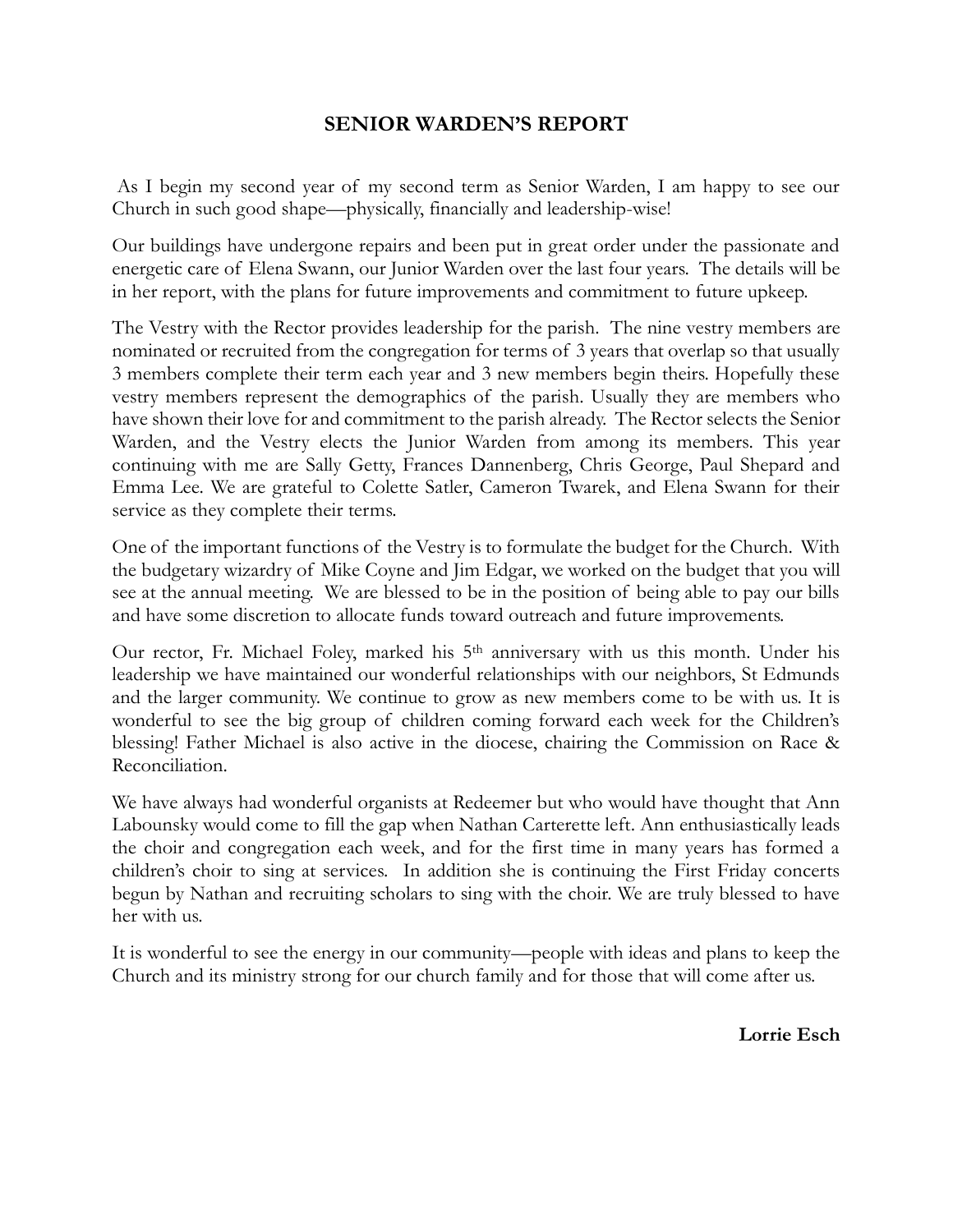## **SENIOR WARDEN'S REPORT**

As I begin my second year of my second term as Senior Warden, I am happy to see our Church in such good shape—physically, financially and leadership-wise!

Our buildings have undergone repairs and been put in great order under the passionate and energetic care of Elena Swann, our Junior Warden over the last four years. The details will be in her report, with the plans for future improvements and commitment to future upkeep.

The Vestry with the Rector provides leadership for the parish. The nine vestry members are nominated or recruited from the congregation for terms of 3 years that overlap so that usually 3 members complete their term each year and 3 new members begin theirs. Hopefully these vestry members represent the demographics of the parish. Usually they are members who have shown their love for and commitment to the parish already. The Rector selects the Senior Warden, and the Vestry elects the Junior Warden from among its members. This year continuing with me are Sally Getty, Frances Dannenberg, Chris George, Paul Shepard and Emma Lee. We are grateful to Colette Satler, Cameron Twarek, and Elena Swann for their service as they complete their terms.

One of the important functions of the Vestry is to formulate the budget for the Church. With the budgetary wizardry of Mike Coyne and Jim Edgar, we worked on the budget that you will see at the annual meeting. We are blessed to be in the position of being able to pay our bills and have some discretion to allocate funds toward outreach and future improvements.

Our rector, Fr. Michael Foley, marked his 5th anniversary with us this month. Under his leadership we have maintained our wonderful relationships with our neighbors, St Edmunds and the larger community. We continue to grow as new members come to be with us. It is wonderful to see the big group of children coming forward each week for the Children's blessing! Father Michael is also active in the diocese, chairing the Commission on Race & Reconciliation.

We have always had wonderful organists at Redeemer but who would have thought that Ann Labounsky would come to fill the gap when Nathan Carterette left. Ann enthusiastically leads the choir and congregation each week, and for the first time in many years has formed a children's choir to sing at services. In addition she is continuing the First Friday concerts begun by Nathan and recruiting scholars to sing with the choir. We are truly blessed to have her with us.

It is wonderful to see the energy in our community—people with ideas and plans to keep the Church and its ministry strong for our church family and for those that will come after us.

**Lorrie Esch**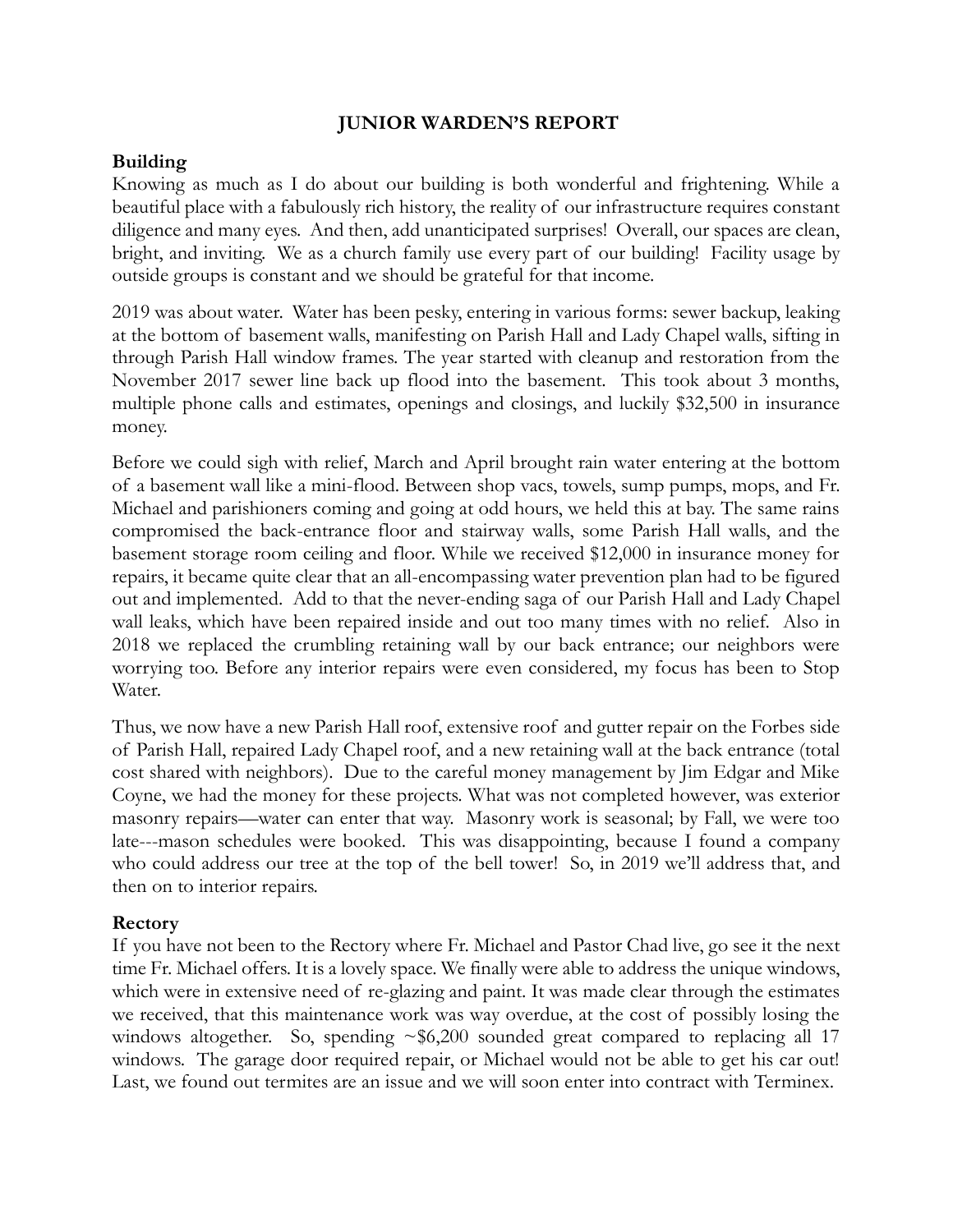#### **JUNIOR WARDEN'S REPORT**

## **Building**

Knowing as much as I do about our building is both wonderful and frightening. While a beautiful place with a fabulously rich history, the reality of our infrastructure requires constant diligence and many eyes. And then, add unanticipated surprises! Overall, our spaces are clean, bright, and inviting. We as a church family use every part of our building! Facility usage by outside groups is constant and we should be grateful for that income.

2019 was about water. Water has been pesky, entering in various forms: sewer backup, leaking at the bottom of basement walls, manifesting on Parish Hall and Lady Chapel walls, sifting in through Parish Hall window frames. The year started with cleanup and restoration from the November 2017 sewer line back up flood into the basement. This took about 3 months, multiple phone calls and estimates, openings and closings, and luckily \$32,500 in insurance money.

Before we could sigh with relief, March and April brought rain water entering at the bottom of a basement wall like a mini-flood. Between shop vacs, towels, sump pumps, mops, and Fr. Michael and parishioners coming and going at odd hours, we held this at bay. The same rains compromised the back-entrance floor and stairway walls, some Parish Hall walls, and the basement storage room ceiling and floor. While we received \$12,000 in insurance money for repairs, it became quite clear that an all-encompassing water prevention plan had to be figured out and implemented. Add to that the never-ending saga of our Parish Hall and Lady Chapel wall leaks, which have been repaired inside and out too many times with no relief. Also in 2018 we replaced the crumbling retaining wall by our back entrance; our neighbors were worrying too. Before any interior repairs were even considered, my focus has been to Stop Water.

Thus, we now have a new Parish Hall roof, extensive roof and gutter repair on the Forbes side of Parish Hall, repaired Lady Chapel roof, and a new retaining wall at the back entrance (total cost shared with neighbors). Due to the careful money management by Jim Edgar and Mike Coyne, we had the money for these projects. What was not completed however, was exterior masonry repairs—water can enter that way. Masonry work is seasonal; by Fall, we were too late---mason schedules were booked. This was disappointing, because I found a company who could address our tree at the top of the bell tower! So, in 2019 we'll address that, and then on to interior repairs.

## **Rectory**

If you have not been to the Rectory where Fr. Michael and Pastor Chad live, go see it the next time Fr. Michael offers. It is a lovely space. We finally were able to address the unique windows, which were in extensive need of re-glazing and paint. It was made clear through the estimates we received, that this maintenance work was way overdue, at the cost of possibly losing the windows altogether. So, spending  $\sim $6,200$  sounded great compared to replacing all 17 windows. The garage door required repair, or Michael would not be able to get his car out! Last, we found out termites are an issue and we will soon enter into contract with Terminex.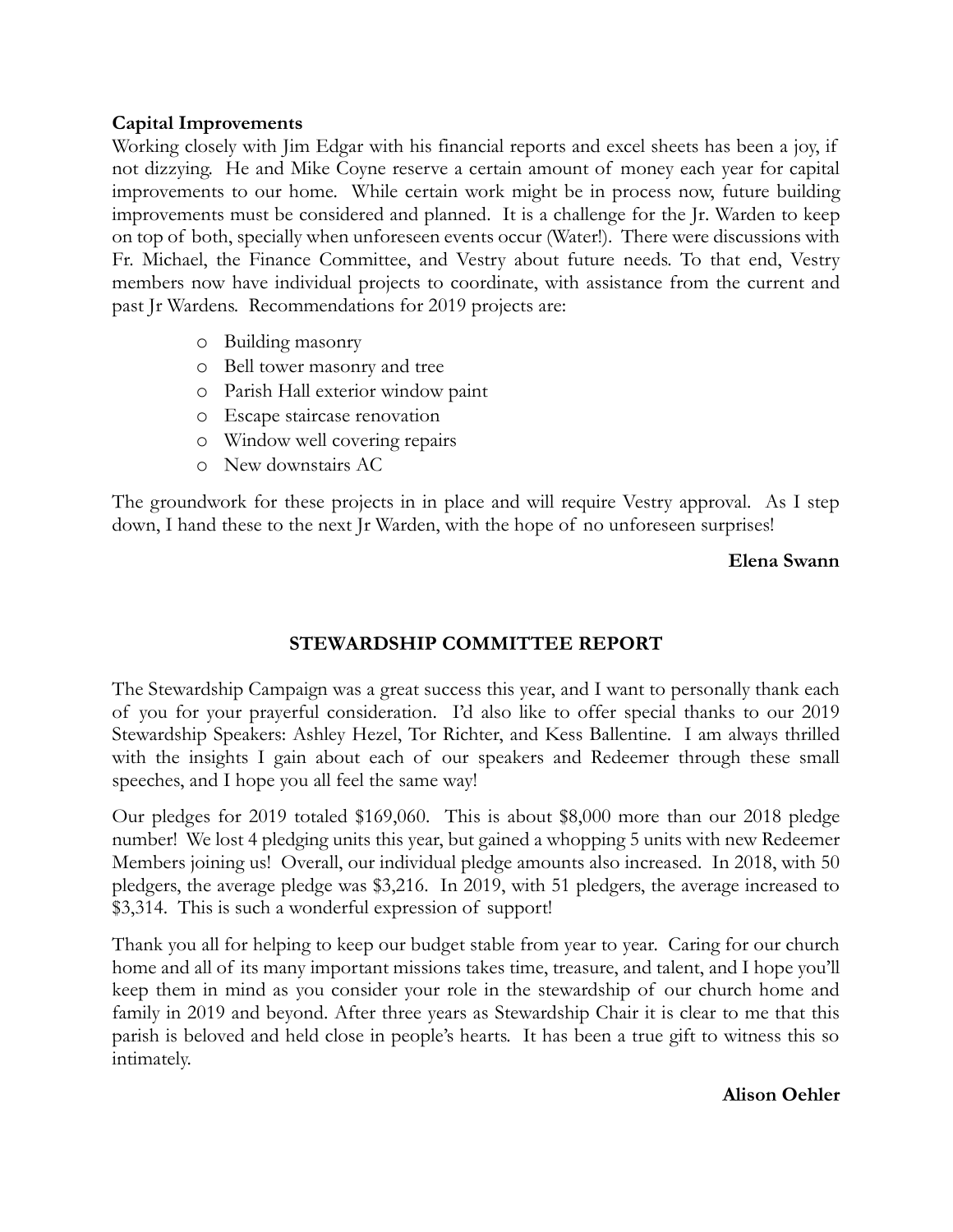## **Capital Improvements**

Working closely with Jim Edgar with his financial reports and excel sheets has been a joy, if not dizzying. He and Mike Coyne reserve a certain amount of money each year for capital improvements to our home. While certain work might be in process now, future building improvements must be considered and planned. It is a challenge for the Jr. Warden to keep on top of both, specially when unforeseen events occur (Water!). There were discussions with Fr. Michael, the Finance Committee, and Vestry about future needs. To that end, Vestry members now have individual projects to coordinate, with assistance from the current and past Jr Wardens. Recommendations for 2019 projects are:

- o Building masonry
- o Bell tower masonry and tree
- o Parish Hall exterior window paint
- o Escape staircase renovation
- o Window well covering repairs
- o New downstairs AC

The groundwork for these projects in in place and will require Vestry approval. As I step down, I hand these to the next Jr Warden, with the hope of no unforeseen surprises!

#### **Elena Swann**

## **STEWARDSHIP COMMITTEE REPORT**

The Stewardship Campaign was a great success this year, and I want to personally thank each of you for your prayerful consideration. I'd also like to offer special thanks to our 2019 Stewardship Speakers: Ashley Hezel, Tor Richter, and Kess Ballentine. I am always thrilled with the insights I gain about each of our speakers and Redeemer through these small speeches, and I hope you all feel the same way!

Our pledges for 2019 totaled \$169,060. This is about \$8,000 more than our 2018 pledge number! We lost 4 pledging units this year, but gained a whopping 5 units with new Redeemer Members joining us! Overall, our individual pledge amounts also increased. In 2018, with 50 pledgers, the average pledge was \$3,216. In 2019, with 51 pledgers, the average increased to \$3,314. This is such a wonderful expression of support!

Thank you all for helping to keep our budget stable from year to year. Caring for our church home and all of its many important missions takes time, treasure, and talent, and I hope you'll keep them in mind as you consider your role in the stewardship of our church home and family in 2019 and beyond. After three years as Stewardship Chair it is clear to me that this parish is beloved and held close in people's hearts. It has been a true gift to witness this so intimately.

**Alison Oehler**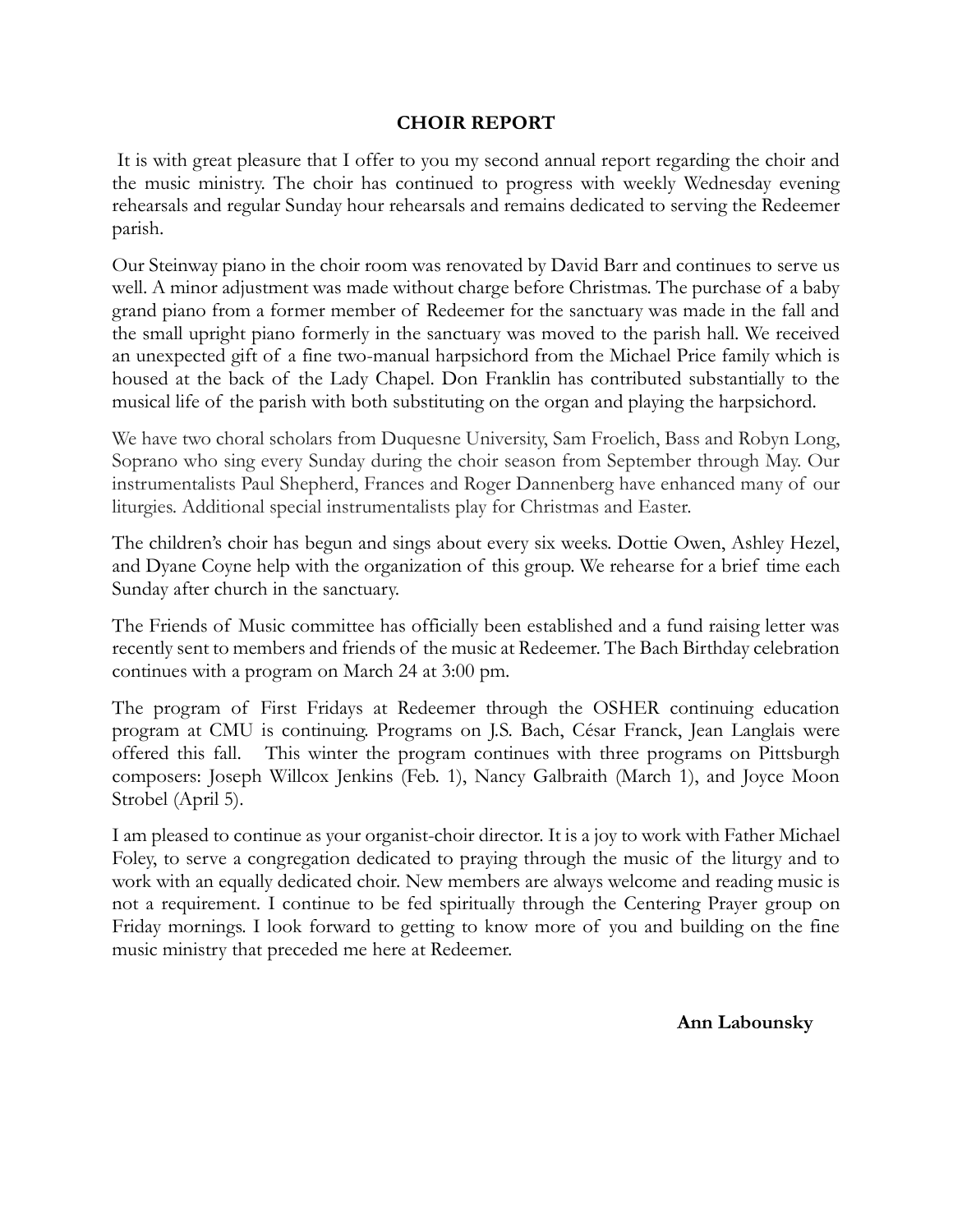#### **CHOIR REPORT**

It is with great pleasure that I offer to you my second annual report regarding the choir and the music ministry. The choir has continued to progress with weekly Wednesday evening rehearsals and regular Sunday hour rehearsals and remains dedicated to serving the Redeemer parish.

Our Steinway piano in the choir room was renovated by David Barr and continues to serve us well. A minor adjustment was made without charge before Christmas. The purchase of a baby grand piano from a former member of Redeemer for the sanctuary was made in the fall and the small upright piano formerly in the sanctuary was moved to the parish hall. We received an unexpected gift of a fine two-manual harpsichord from the Michael Price family which is housed at the back of the Lady Chapel. Don Franklin has contributed substantially to the musical life of the parish with both substituting on the organ and playing the harpsichord.

We have two choral scholars from Duquesne University, Sam Froelich, Bass and Robyn Long, Soprano who sing every Sunday during the choir season from September through May. Our instrumentalists Paul Shepherd, Frances and Roger Dannenberg have enhanced many of our liturgies. Additional special instrumentalists play for Christmas and Easter.

The children's choir has begun and sings about every six weeks. Dottie Owen, Ashley Hezel, and Dyane Coyne help with the organization of this group. We rehearse for a brief time each Sunday after church in the sanctuary.

The Friends of Music committee has officially been established and a fund raising letter was recently sent to members and friends of the music at Redeemer. The Bach Birthday celebration continues with a program on March 24 at 3:00 pm.

The program of First Fridays at Redeemer through the OSHER continuing education program at CMU is continuing. Programs on J.S. Bach, César Franck, Jean Langlais were offered this fall. This winter the program continues with three programs on Pittsburgh composers: Joseph Willcox Jenkins (Feb. 1), Nancy Galbraith (March 1), and Joyce Moon Strobel (April 5).

I am pleased to continue as your organist-choir director. It is a joy to work with Father Michael Foley, to serve a congregation dedicated to praying through the music of the liturgy and to work with an equally dedicated choir. New members are always welcome and reading music is not a requirement. I continue to be fed spiritually through the Centering Prayer group on Friday mornings. I look forward to getting to know more of you and building on the fine music ministry that preceded me here at Redeemer.

**Ann Labounsky**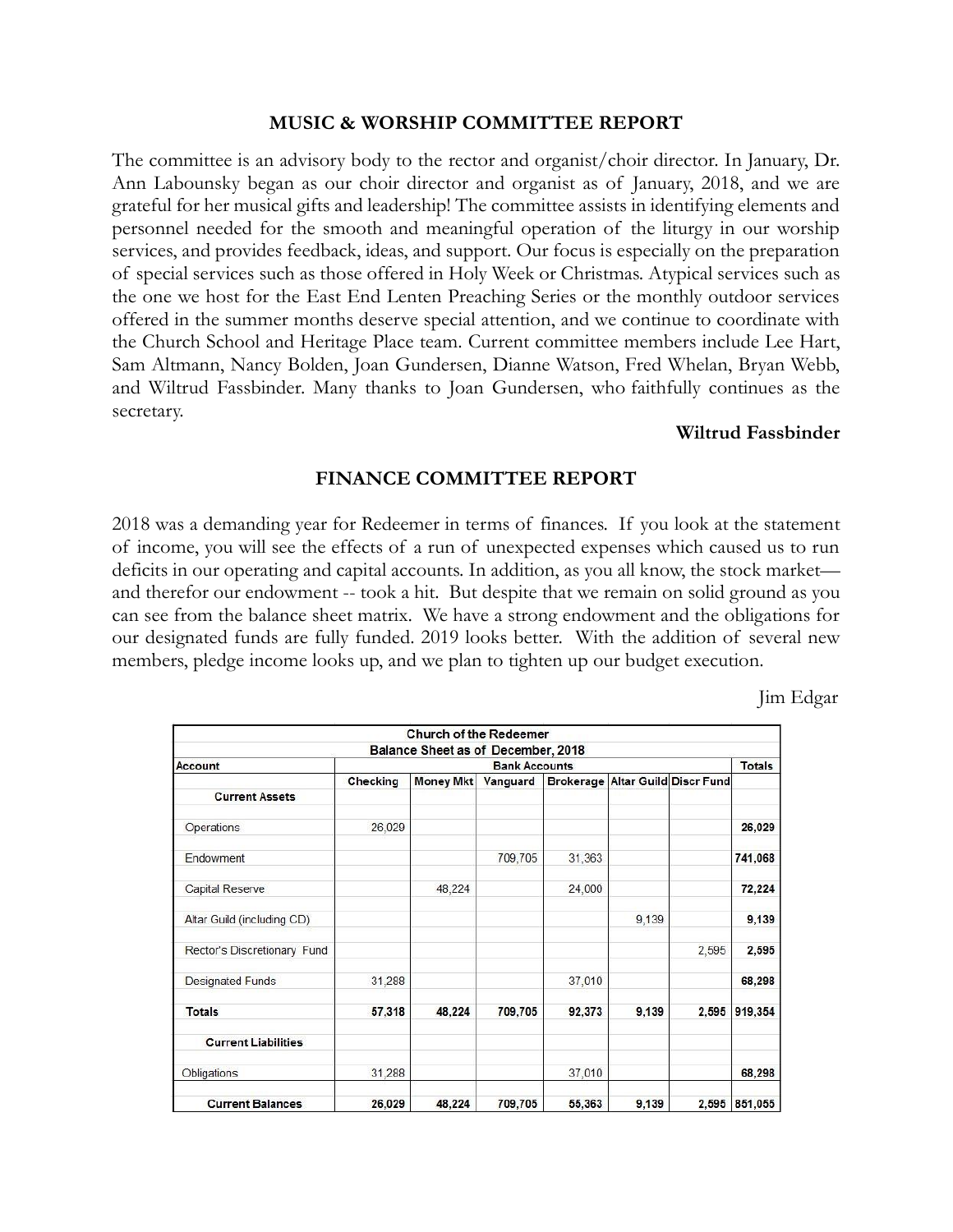#### **MUSIC & WORSHIP COMMITTEE REPORT**

The committee is an advisory body to the rector and organist/choir director. In January, Dr. Ann Labounsky began as our choir director and organist as of January, 2018, and we are grateful for her musical gifts and leadership! The committee assists in identifying elements and personnel needed for the smooth and meaningful operation of the liturgy in our worship services, and provides feedback, ideas, and support. Our focus is especially on the preparation of special services such as those offered in Holy Week or Christmas. Atypical services such as the one we host for the East End Lenten Preaching Series or the monthly outdoor services offered in the summer months deserve special attention, and we continue to coordinate with the Church School and Heritage Place team. Current committee members include Lee Hart, Sam Altmann, Nancy Bolden, Joan Gundersen, Dianne Watson, Fred Whelan, Bryan Webb, and Wiltrud Fassbinder. Many thanks to Joan Gundersen, who faithfully continues as the secretary.

#### **Wiltrud Fassbinder**

#### **FINANCE COMMITTEE REPORT**

2018 was a demanding year for Redeemer in terms of finances. If you look at the statement of income, you will see the effects of a run of unexpected expenses which caused us to run deficits in our operating and capital accounts. In addition, as you all know, the stock market and therefor our endowment -- took a hit. But despite that we remain on solid ground as you can see from the balance sheet matrix. We have a strong endowment and the obligations for our designated funds are fully funded. 2019 looks better. With the addition of several new members, pledge income looks up, and we plan to tighten up our budget execution.

Jim Edgar

|                             |                      | <b>Church of the Redeemer</b>      |          |        |       |                                  |         |  |
|-----------------------------|----------------------|------------------------------------|----------|--------|-------|----------------------------------|---------|--|
|                             |                      | Balance Sheet as of December, 2018 |          |        |       |                                  |         |  |
| Account                     | <b>Bank Accounts</b> |                                    |          |        |       |                                  |         |  |
|                             | Checking             | <b>Money Mkt</b>                   | Vanguard |        |       | Brokerage Altar Guild Discr Fund |         |  |
| <b>Current Assets</b>       |                      |                                    |          |        |       |                                  |         |  |
| Operations                  | 26,029               |                                    |          |        |       |                                  | 26,029  |  |
| Endowment                   |                      |                                    | 709,705  | 31,363 |       |                                  | 741,068 |  |
| Capital Reserve             |                      | 48,224                             |          | 24,000 |       |                                  | 72,224  |  |
| Altar Guild (including CD)  |                      |                                    |          |        | 9,139 |                                  | 9,139   |  |
| Rector's Discretionary Fund |                      |                                    |          |        |       | 2,595                            | 2,595   |  |
| <b>Designated Funds</b>     | 31,288               |                                    |          | 37,010 |       |                                  | 68,298  |  |
| <b>Totals</b>               | 57,318               | 48,224                             | 709,705  | 92,373 | 9,139 | 2.595                            | 919,354 |  |
| <b>Current Liabilities</b>  |                      |                                    |          |        |       |                                  |         |  |
| Obligations                 | 31,288               |                                    |          | 37,010 |       |                                  | 68,298  |  |
| <b>Current Balances</b>     | 26,029               | 48,224                             | 709,705  | 55,363 | 9,139 | 2,595                            | 851,055 |  |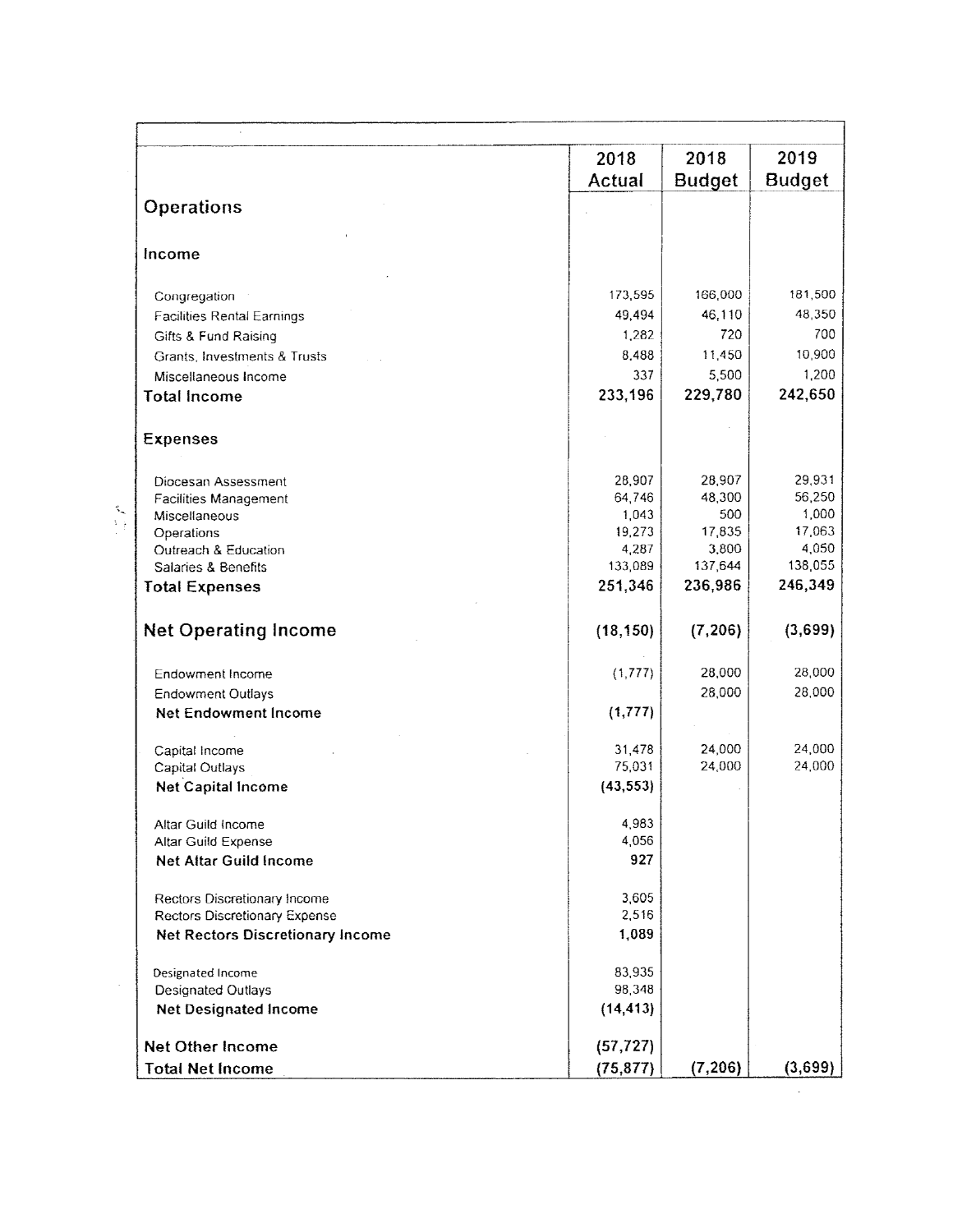|                                                                   | 2018<br>Actual   | 2018<br><b>Budget</b> | 2019<br><b>Budget</b> |
|-------------------------------------------------------------------|------------------|-----------------------|-----------------------|
| <b>Operations</b>                                                 |                  |                       |                       |
| Income                                                            |                  |                       |                       |
| Congregation                                                      | 173,595          | 166,000               | 181,500               |
| <b>Facilities Rental Earnings</b>                                 | 49,494           | 46,110                | 48,350                |
| Gifts & Fund Raising                                              | 1,282            | 720                   | 700                   |
| Grants, Investments & Trusts                                      | 8,488            | 11,450                | 10,900                |
| Miscellaneous Income                                              | 337              | 5,500                 | 1,200                 |
| <b>Total Income</b>                                               | 233,196          | 229,780               | 242,650               |
| <b>Expenses</b>                                                   |                  |                       |                       |
| Diocesan Assessment                                               | 28,907           | 28,907                | 29,931                |
| Facilities Management                                             | 64,746           | 48,300                | 56,250                |
| Miscellaneous                                                     | 1,043            | 500                   | 1,000                 |
| Operations                                                        | 19,273           | 17,835                | 17,063                |
| Outreach & Education<br>Salaries & Benefits                       | 4,287<br>133,089 | 3,800<br>137,644      | 4,050<br>138,055      |
| <b>Total Expenses</b>                                             | 251,346          | 236,986               | 246,349               |
|                                                                   |                  |                       |                       |
| <b>Net Operating Income</b>                                       | (18, 150)        | (7, 206)              | (3,699)               |
| <b>Endowment Income</b>                                           | (1, 777)         | 28,000                | 28,000                |
| <b>Endowment Outlays</b>                                          |                  | 28,000                | 28,000                |
| Net Endowment Income                                              | (1, 777)         |                       |                       |
| Capital Income                                                    | 31,478           | 24,000                | 24,000                |
| Capital Outlays                                                   | 75,031           | 24,000                | 24,000                |
| <b>Net Capital Income</b>                                         | (43, 553)        |                       |                       |
| Altar Guild Income                                                | 4,983            |                       |                       |
| Altar Guild Expense                                               | 4,056            |                       |                       |
| Net Altar Guild Income                                            | 927              |                       |                       |
| Rectors Discretionary Income                                      | 3,605            |                       |                       |
| Rectors Discretionary Expense<br>Net Rectors Discretionary Income | 2,516<br>1,089   |                       |                       |
|                                                                   |                  |                       |                       |
| Designated Income<br><b>Designated Outlays</b>                    | 83,935<br>98,348 |                       |                       |
| <b>Net Designated Income</b>                                      | (14, 413)        |                       |                       |
| <b>Net Other Income</b>                                           | (57, 727)        |                       |                       |
| <b>Total Net Income</b>                                           | (75, 877)        | (7, 206)              | (3,699)               |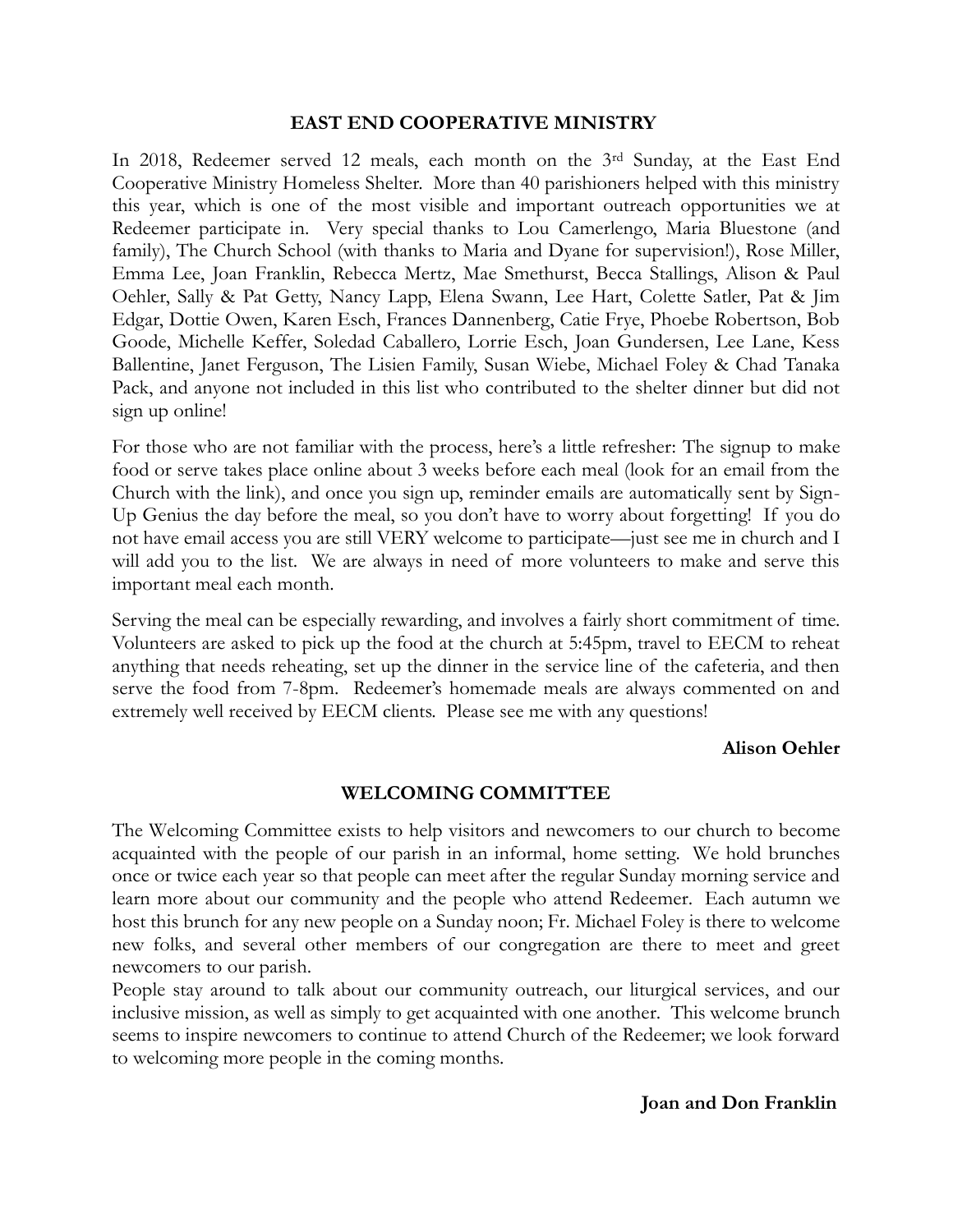#### **EAST END COOPERATIVE MINISTRY**

In 2018, Redeemer served 12 meals, each month on the 3rd Sunday, at the East End Cooperative Ministry Homeless Shelter. More than 40 parishioners helped with this ministry this year, which is one of the most visible and important outreach opportunities we at Redeemer participate in. Very special thanks to Lou Camerlengo, Maria Bluestone (and family), The Church School (with thanks to Maria and Dyane for supervision!), Rose Miller, Emma Lee, Joan Franklin, Rebecca Mertz, Mae Smethurst, Becca Stallings, Alison & Paul Oehler, Sally & Pat Getty, Nancy Lapp, Elena Swann, Lee Hart, Colette Satler, Pat & Jim Edgar, Dottie Owen, Karen Esch, Frances Dannenberg, Catie Frye, Phoebe Robertson, Bob Goode, Michelle Keffer, Soledad Caballero, Lorrie Esch, Joan Gundersen, Lee Lane, Kess Ballentine, Janet Ferguson, The Lisien Family, Susan Wiebe, Michael Foley & Chad Tanaka Pack, and anyone not included in this list who contributed to the shelter dinner but did not sign up online!

For those who are not familiar with the process, here's a little refresher: The signup to make food or serve takes place online about 3 weeks before each meal (look for an email from the Church with the link), and once you sign up, reminder emails are automatically sent by Sign-Up Genius the day before the meal, so you don't have to worry about forgetting! If you do not have email access you are still VERY welcome to participate—just see me in church and I will add you to the list. We are always in need of more volunteers to make and serve this important meal each month.

Serving the meal can be especially rewarding, and involves a fairly short commitment of time. Volunteers are asked to pick up the food at the church at 5:45pm, travel to EECM to reheat anything that needs reheating, set up the dinner in the service line of the cafeteria, and then serve the food from 7-8pm. Redeemer's homemade meals are always commented on and extremely well received by EECM clients. Please see me with any questions!

#### **Alison Oehler**

#### **WELCOMING COMMITTEE**

The Welcoming Committee exists to help visitors and newcomers to our church to become acquainted with the people of our parish in an informal, home setting. We hold brunches once or twice each year so that people can meet after the regular Sunday morning service and learn more about our community and the people who attend Redeemer. Each autumn we host this brunch for any new people on a Sunday noon; Fr. Michael Foley is there to welcome new folks, and several other members of our congregation are there to meet and greet newcomers to our parish.

People stay around to talk about our community outreach, our liturgical services, and our inclusive mission, as well as simply to get acquainted with one another. This welcome brunch seems to inspire newcomers to continue to attend Church of the Redeemer; we look forward to welcoming more people in the coming months.

**Joan and Don Franklin**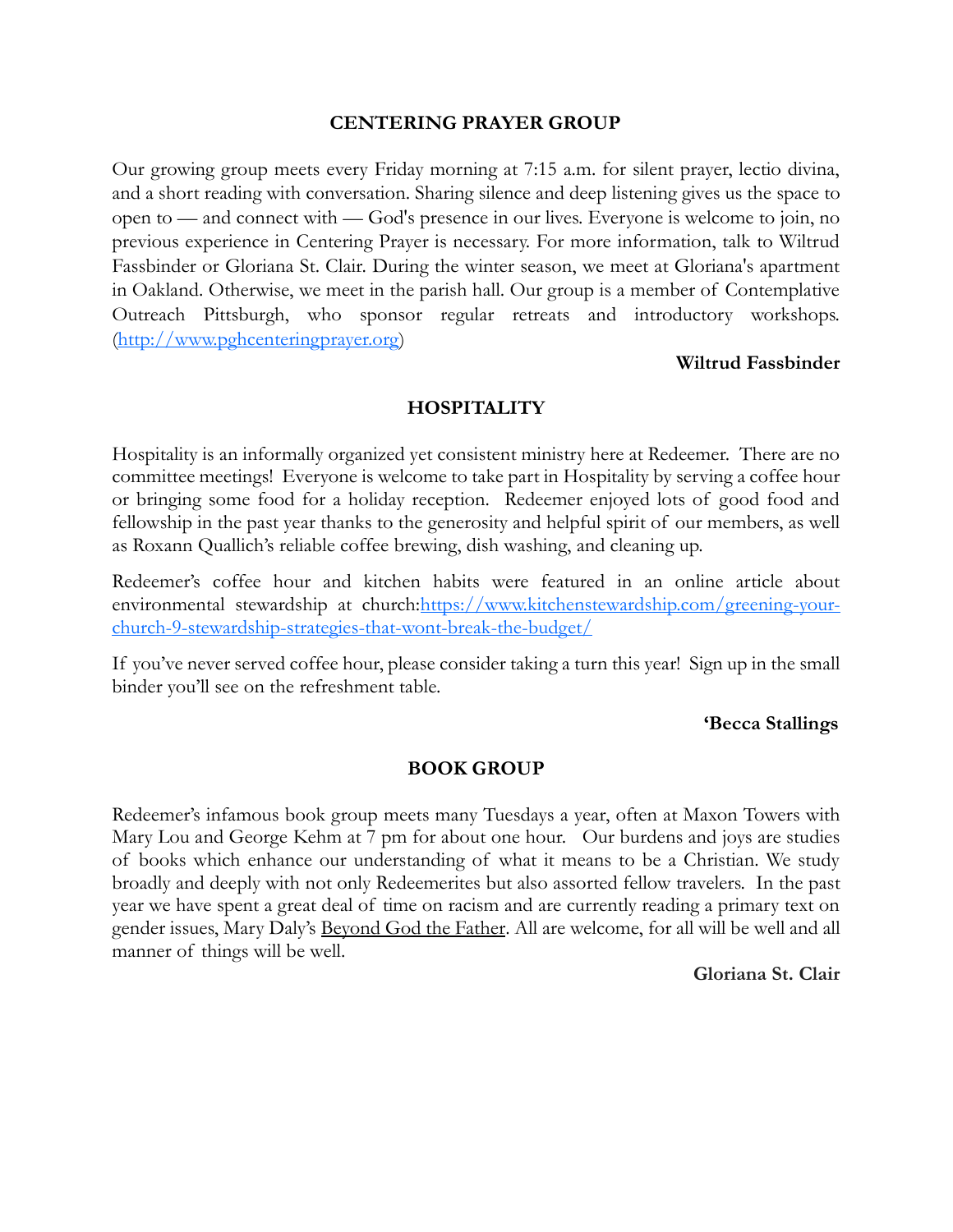#### **CENTERING PRAYER GROUP**

Our growing group meets every Friday morning at 7:15 a.m. for silent prayer, lectio divina, and a short reading with conversation. Sharing silence and deep listening gives us the space to open to — and connect with — God's presence in our lives. Everyone is welcome to join, no previous experience in Centering Prayer is necessary. For more information, talk to Wiltrud Fassbinder or Gloriana St. Clair. During the winter season, we meet at Gloriana's apartment in Oakland. Otherwise, we meet in the parish hall. Our group is a member of Contemplative Outreach Pittsburgh, who sponsor regular retreats and introductory workshops. [\(http://www.pghcenteringprayer.org\)](http://www.pghcenteringprayer.org/)

#### **Wiltrud Fassbinder**

#### **HOSPITALITY**

Hospitality is an informally organized yet consistent ministry here at Redeemer. There are no committee meetings! Everyone is welcome to take part in Hospitality by serving a coffee hour or bringing some food for a holiday reception. Redeemer enjoyed lots of good food and fellowship in the past year thanks to the generosity and helpful spirit of our members, as well as Roxann Quallich's reliable coffee brewing, dish washing, and cleaning up.

Redeemer's coffee hour and kitchen habits were featured in an online article about environmental stewardship at church[:https://www.kitchenstewardship.com/greening-your](https://www.kitchenstewardship.com/greening-your-church-9-stewardship-strategies-that-wont-break-the-budget/)[church-9-stewardship-strategies-that-wont-break-the-budget/](https://www.kitchenstewardship.com/greening-your-church-9-stewardship-strategies-that-wont-break-the-budget/)

If you've never served coffee hour, please consider taking a turn this year! Sign up in the small binder you'll see on the refreshment table.

#### **'Becca Stallings**

#### **BOOK GROUP**

Redeemer's infamous book group meets many Tuesdays a year, often at Maxon Towers with Mary Lou and George Kehm at 7 pm for about one hour. Our burdens and joys are studies of books which enhance our understanding of what it means to be a Christian. We study broadly and deeply with not only Redeemerites but also assorted fellow travelers. In the past year we have spent a great deal of time on racism and are currently reading a primary text on gender issues, Mary Daly's Beyond God the Father. All are welcome, for all will be well and all manner of things will be well.

**Gloriana St. Clair**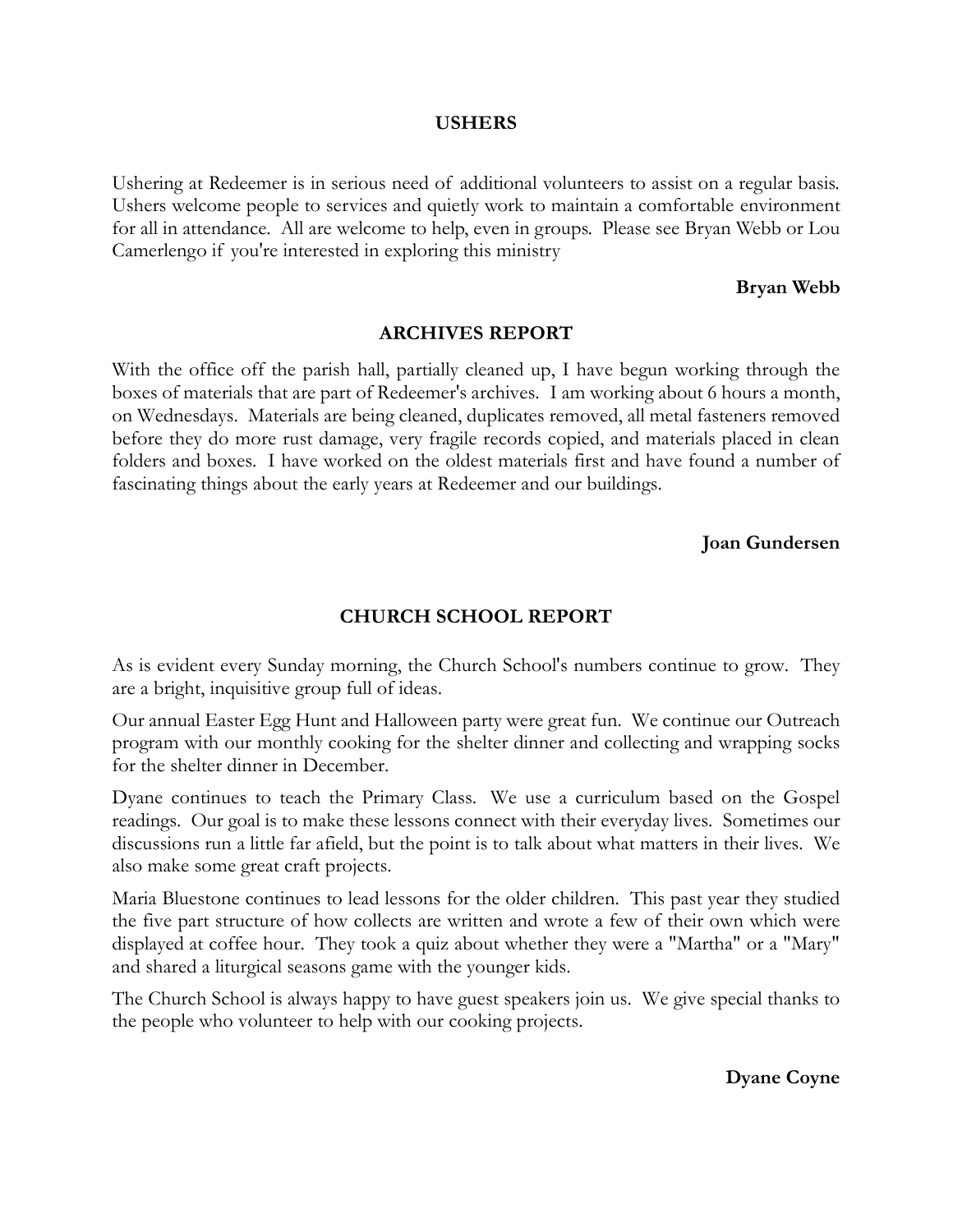#### **USHERS**

Ushering at Redeemer is in serious need of additional volunteers to assist on a regular basis. Ushers welcome people to services and quietly work to maintain a comfortable environment for all in attendance. All are welcome to help, even in groups. Please see Bryan Webb or Lou Camerlengo if you're interested in exploring this ministry

#### **Bryan Webb**

#### **ARCHIVES REPORT**

With the office off the parish hall, partially cleaned up, I have begun working through the boxes of materials that are part of Redeemer's archives. I am working about 6 hours a month, on Wednesdays. Materials are being cleaned, duplicates removed, all metal fasteners removed before they do more rust damage, very fragile records copied, and materials placed in clean folders and boxes. I have worked on the oldest materials first and have found a number of fascinating things about the early years at Redeemer and our buildings.

#### **Joan Gundersen**

## **CHURCH SCHOOL REPORT**

As is evident every Sunday morning, the Church School's numbers continue to grow. They are a bright, inquisitive group full of ideas.

Our annual Easter Egg Hunt and Halloween party were great fun. We continue our Outreach program with our monthly cooking for the shelter dinner and collecting and wrapping socks for the shelter dinner in December.

Dyane continues to teach the Primary Class. We use a curriculum based on the Gospel readings. Our goal is to make these lessons connect with their everyday lives. Sometimes our discussions run a little far afield, but the point is to talk about what matters in their lives. We also make some great craft projects.

Maria Bluestone continues to lead lessons for the older children. This past year they studied the five part structure of how collects are written and wrote a few of their own which were displayed at coffee hour. They took a quiz about whether they were a "Martha" or a "Mary" and shared a liturgical seasons game with the younger kids.

The Church School is always happy to have guest speakers join us. We give special thanks to the people who volunteer to help with our cooking projects.

**Dyane Coyne**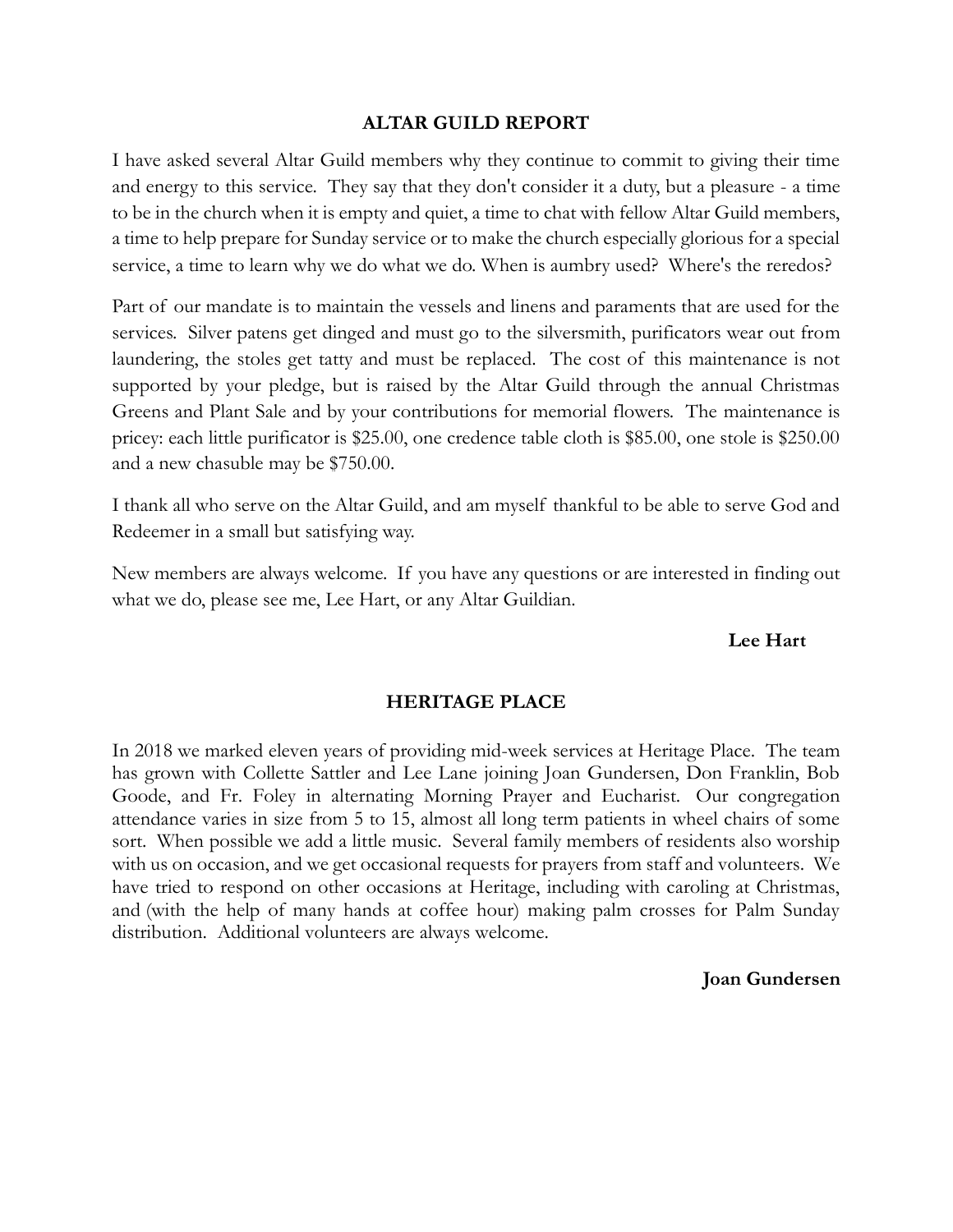#### **ALTAR GUILD REPORT**

I have asked several Altar Guild members why they continue to commit to giving their time and energy to this service. They say that they don't consider it a duty, but a pleasure - a time to be in the church when it is empty and quiet, a time to chat with fellow Altar Guild members, a time to help prepare for Sunday service or to make the church especially glorious for a special service, a time to learn why we do what we do. When is aumbry used? Where's the reredos?

Part of our mandate is to maintain the vessels and linens and paraments that are used for the services. Silver patens get dinged and must go to the silversmith, purificators wear out from laundering, the stoles get tatty and must be replaced. The cost of this maintenance is not supported by your pledge, but is raised by the Altar Guild through the annual Christmas Greens and Plant Sale and by your contributions for memorial flowers. The maintenance is pricey: each little purificator is \$25.00, one credence table cloth is \$85.00, one stole is \$250.00 and a new chasuble may be \$750.00.

I thank all who serve on the Altar Guild, and am myself thankful to be able to serve God and Redeemer in a small but satisfying way.

New members are always welcome. If you have any questions or are interested in finding out what we do, please see me, Lee Hart, or any Altar Guildian.

#### **Lee Hart**

#### **HERITAGE PLACE**

In 2018 we marked eleven years of providing mid-week services at Heritage Place. The team has grown with Collette Sattler and Lee Lane joining Joan Gundersen, Don Franklin, Bob Goode, and Fr. Foley in alternating Morning Prayer and Eucharist. Our congregation attendance varies in size from 5 to 15, almost all long term patients in wheel chairs of some sort. When possible we add a little music. Several family members of residents also worship with us on occasion, and we get occasional requests for prayers from staff and volunteers. We have tried to respond on other occasions at Heritage, including with caroling at Christmas, and (with the help of many hands at coffee hour) making palm crosses for Palm Sunday distribution. Additional volunteers are always welcome.

#### **Joan Gundersen**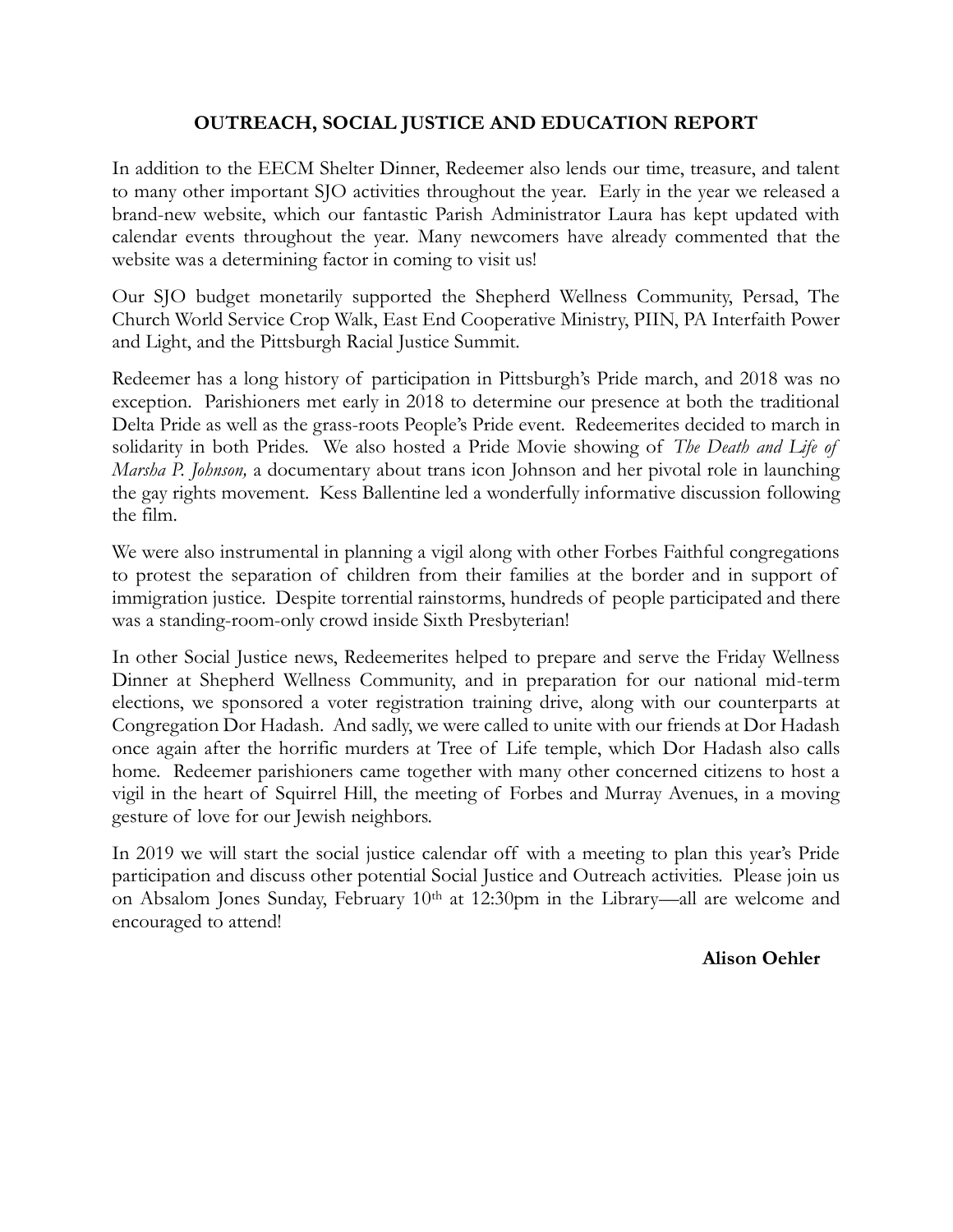## **OUTREACH, SOCIAL JUSTICE AND EDUCATION REPORT**

In addition to the EECM Shelter Dinner, Redeemer also lends our time, treasure, and talent to many other important SJO activities throughout the year. Early in the year we released a brand-new website, which our fantastic Parish Administrator Laura has kept updated with calendar events throughout the year. Many newcomers have already commented that the website was a determining factor in coming to visit us!

Our SJO budget monetarily supported the Shepherd Wellness Community, Persad, The Church World Service Crop Walk, East End Cooperative Ministry, PIIN, PA Interfaith Power and Light, and the Pittsburgh Racial Justice Summit.

Redeemer has a long history of participation in Pittsburgh's Pride march, and 2018 was no exception. Parishioners met early in 2018 to determine our presence at both the traditional Delta Pride as well as the grass-roots People's Pride event. Redeemerites decided to march in solidarity in both Prides. We also hosted a Pride Movie showing of *The Death and Life of Marsha P. Johnson,* a documentary about trans icon Johnson and her pivotal role in launching the gay rights movement. Kess Ballentine led a wonderfully informative discussion following the film.

We were also instrumental in planning a vigil along with other Forbes Faithful congregations to protest the separation of children from their families at the border and in support of immigration justice. Despite torrential rainstorms, hundreds of people participated and there was a standing-room-only crowd inside Sixth Presbyterian!

In other Social Justice news, Redeemerites helped to prepare and serve the Friday Wellness Dinner at Shepherd Wellness Community, and in preparation for our national mid-term elections, we sponsored a voter registration training drive, along with our counterparts at Congregation Dor Hadash. And sadly, we were called to unite with our friends at Dor Hadash once again after the horrific murders at Tree of Life temple, which Dor Hadash also calls home. Redeemer parishioners came together with many other concerned citizens to host a vigil in the heart of Squirrel Hill, the meeting of Forbes and Murray Avenues, in a moving gesture of love for our Jewish neighbors.

In 2019 we will start the social justice calendar off with a meeting to plan this year's Pride participation and discuss other potential Social Justice and Outreach activities. Please join us on Absalom Jones Sunday, February 10th at 12:30pm in the Library—all are welcome and encouraged to attend!

 **Alison Oehler**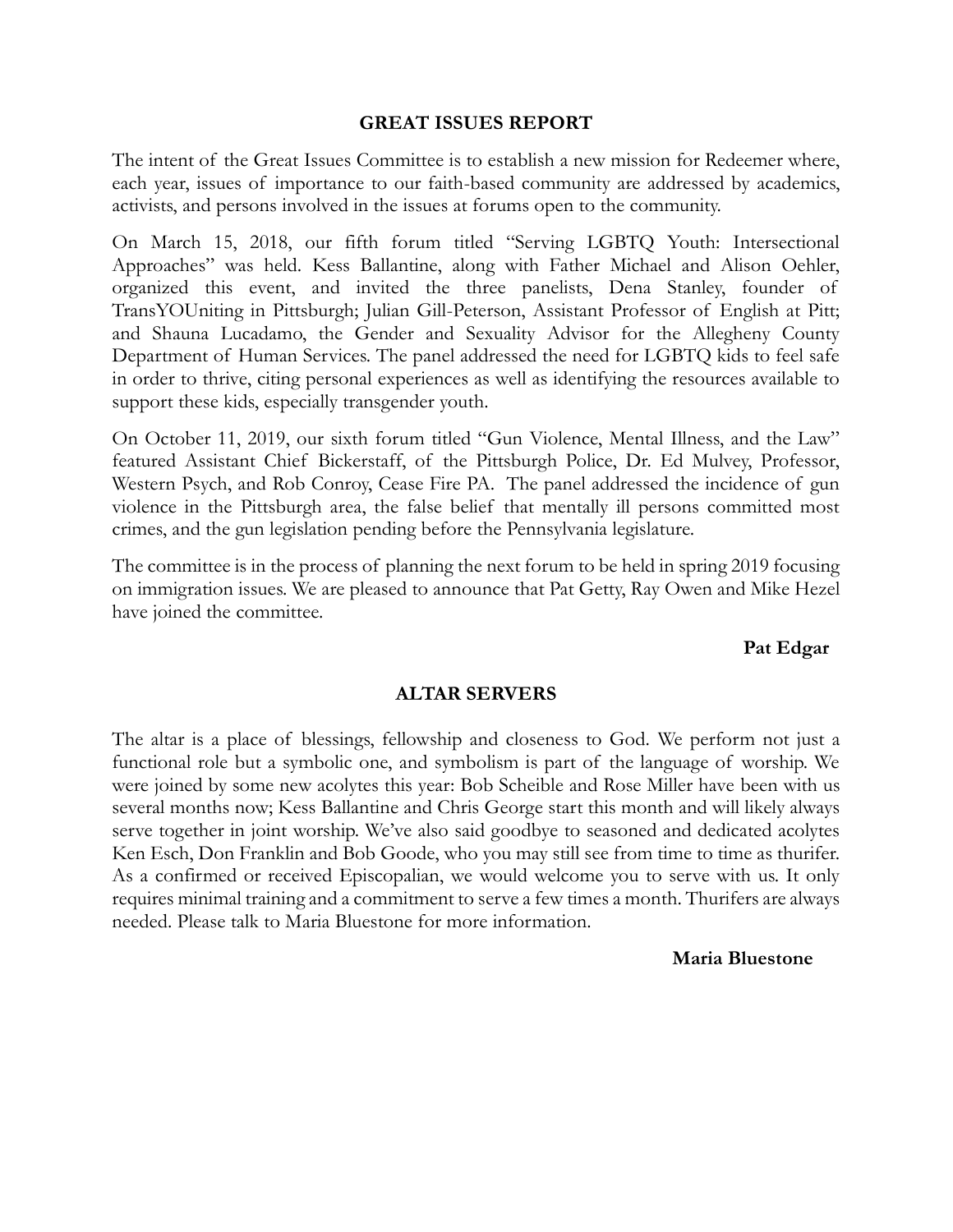#### **GREAT ISSUES REPORT**

The intent of the Great Issues Committee is to establish a new mission for Redeemer where, each year, issues of importance to our faith-based community are addressed by academics, activists, and persons involved in the issues at forums open to the community.

On March 15, 2018, our fifth forum titled "Serving LGBTQ Youth: Intersectional Approaches" was held. Kess Ballantine, along with Father Michael and Alison Oehler, organized this event, and invited the three panelists, Dena Stanley, founder of TransYOUniting in Pittsburgh; Julian Gill-Peterson, Assistant Professor of English at Pitt; and Shauna Lucadamo, the Gender and Sexuality Advisor for the Allegheny County Department of Human Services. The panel addressed the need for LGBTQ kids to feel safe in order to thrive, citing personal experiences as well as identifying the resources available to support these kids, especially transgender youth.

On October 11, 2019, our sixth forum titled "Gun Violence, Mental Illness, and the Law" featured Assistant Chief Bickerstaff, of the Pittsburgh Police, Dr. Ed Mulvey, Professor, Western Psych, and Rob Conroy, Cease Fire PA. The panel addressed the incidence of gun violence in the Pittsburgh area, the false belief that mentally ill persons committed most crimes, and the gun legislation pending before the Pennsylvania legislature.

The committee is in the process of planning the next forum to be held in spring 2019 focusing on immigration issues. We are pleased to announce that Pat Getty, Ray Owen and Mike Hezel have joined the committee.

#### **Pat Edgar**

#### **ALTAR SERVERS**

The altar is a place of blessings, fellowship and closeness to God. We perform not just a functional role but a symbolic one, and symbolism is part of the language of worship. We were joined by some new acolytes this year: Bob Scheible and Rose Miller have been with us several months now; Kess Ballantine and Chris George start this month and will likely always serve together in joint worship. We've also said goodbye to seasoned and dedicated acolytes Ken Esch, Don Franklin and Bob Goode, who you may still see from time to time as thurifer. As a confirmed or received Episcopalian, we would welcome you to serve with us. It only requires minimal training and a commitment to serve a few times a month. Thurifers are always needed. Please talk to Maria Bluestone for more information.

#### **Maria Bluestone**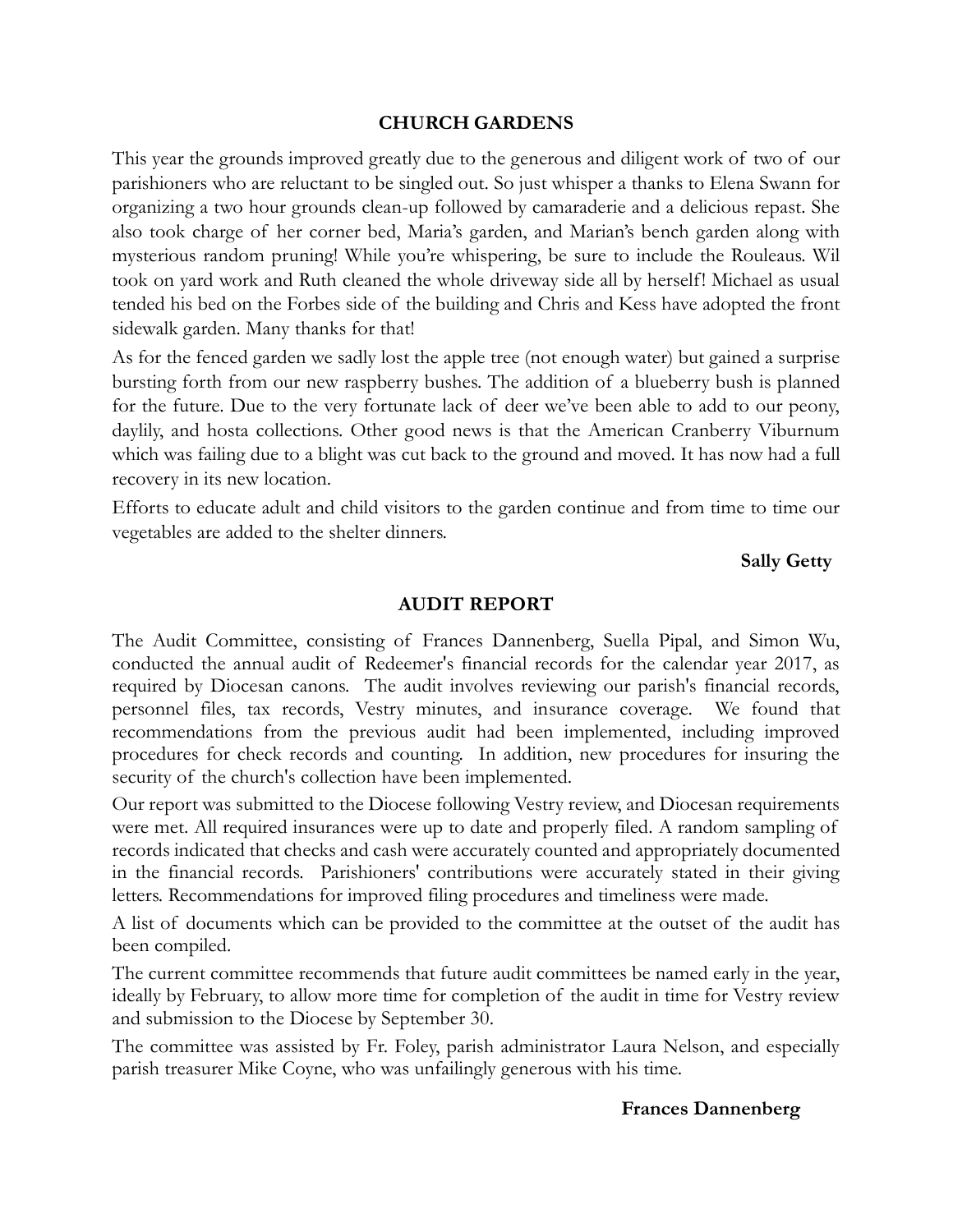#### **CHURCH GARDENS**

This year the grounds improved greatly due to the generous and diligent work of two of our parishioners who are reluctant to be singled out. So just whisper a thanks to Elena Swann for organizing a two hour grounds clean-up followed by camaraderie and a delicious repast. She also took charge of her corner bed, Maria's garden, and Marian's bench garden along with mysterious random pruning! While you're whispering, be sure to include the Rouleaus. Wil took on yard work and Ruth cleaned the whole driveway side all by herself! Michael as usual tended his bed on the Forbes side of the building and Chris and Kess have adopted the front sidewalk garden. Many thanks for that!

As for the fenced garden we sadly lost the apple tree (not enough water) but gained a surprise bursting forth from our new raspberry bushes. The addition of a blueberry bush is planned for the future. Due to the very fortunate lack of deer we've been able to add to our peony, daylily, and hosta collections. Other good news is that the American Cranberry Viburnum which was failing due to a blight was cut back to the ground and moved. It has now had a full recovery in its new location.

Efforts to educate adult and child visitors to the garden continue and from time to time our vegetables are added to the shelter dinners.

 **Sally Getty**

#### **AUDIT REPORT**

The Audit Committee, consisting of Frances Dannenberg, Suella Pipal, and Simon Wu, conducted the annual audit of Redeemer's financial records for the calendar year 2017, as required by Diocesan canons. The audit involves reviewing our parish's financial records, personnel files, tax records, Vestry minutes, and insurance coverage. We found that recommendations from the previous audit had been implemented, including improved procedures for check records and counting. In addition, new procedures for insuring the security of the church's collection have been implemented.

Our report was submitted to the Diocese following Vestry review, and Diocesan requirements were met. All required insurances were up to date and properly filed. A random sampling of records indicated that checks and cash were accurately counted and appropriately documented in the financial records. Parishioners' contributions were accurately stated in their giving letters. Recommendations for improved filing procedures and timeliness were made.

A list of documents which can be provided to the committee at the outset of the audit has been compiled.

The current committee recommends that future audit committees be named early in the year, ideally by February, to allow more time for completion of the audit in time for Vestry review and submission to the Diocese by September 30.

The committee was assisted by Fr. Foley, parish administrator Laura Nelson, and especially parish treasurer Mike Coyne, who was unfailingly generous with his time.

#### **Frances Dannenberg**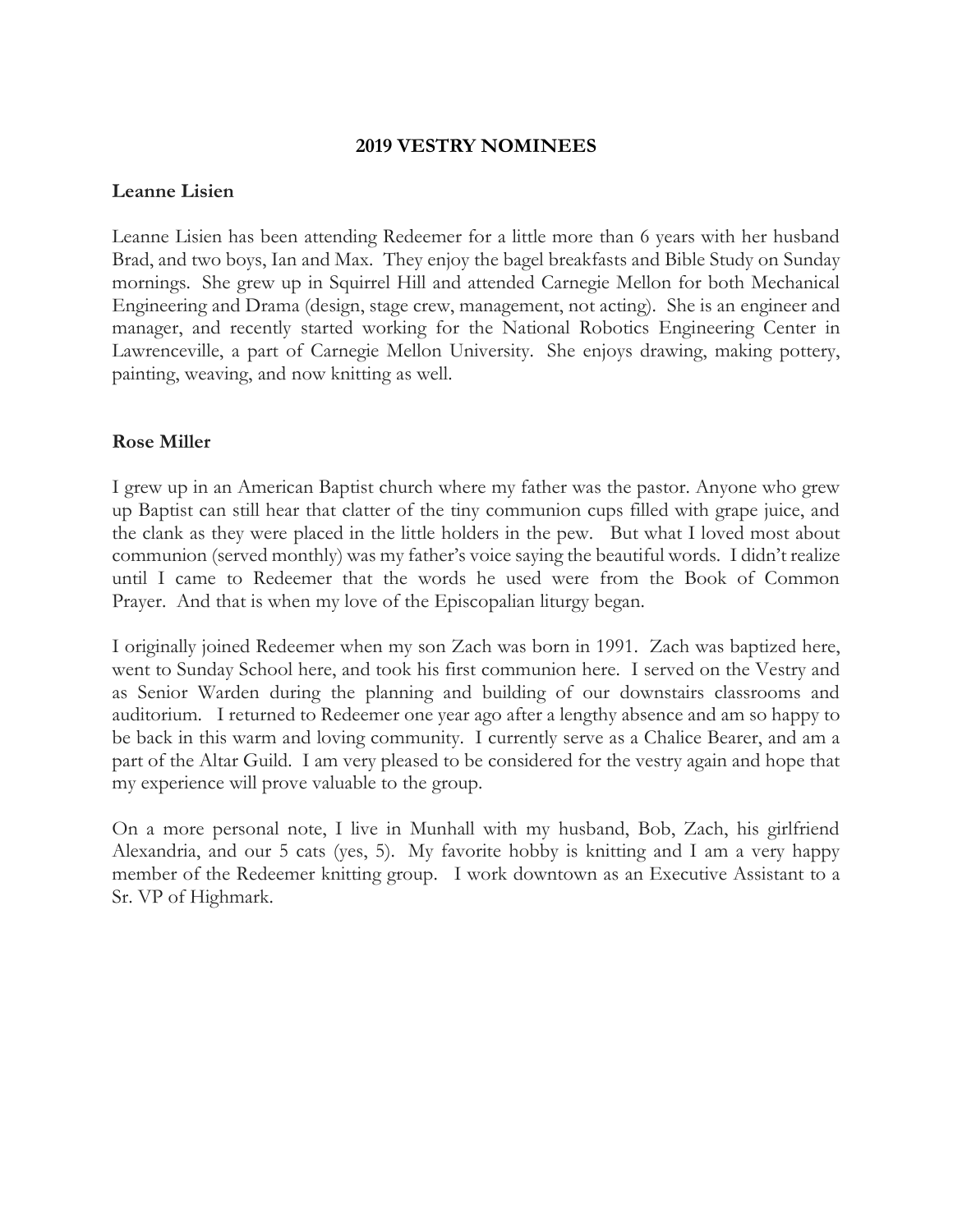#### **2019 VESTRY NOMINEES**

#### **Leanne Lisien**

Leanne Lisien has been attending Redeemer for a little more than 6 years with her husband Brad, and two boys, Ian and Max. They enjoy the bagel breakfasts and Bible Study on Sunday mornings. She grew up in Squirrel Hill and attended Carnegie Mellon for both Mechanical Engineering and Drama (design, stage crew, management, not acting). She is an engineer and manager, and recently started working for the National Robotics Engineering Center in Lawrenceville, a part of Carnegie Mellon University. She enjoys drawing, making pottery, painting, weaving, and now knitting as well.

#### **Rose Miller**

I grew up in an American Baptist church where my father was the pastor. Anyone who grew up Baptist can still hear that clatter of the tiny communion cups filled with grape juice, and the clank as they were placed in the little holders in the pew. But what I loved most about communion (served monthly) was my father's voice saying the beautiful words. I didn't realize until I came to Redeemer that the words he used were from the Book of Common Prayer. And that is when my love of the Episcopalian liturgy began.

I originally joined Redeemer when my son Zach was born in 1991. Zach was baptized here, went to Sunday School here, and took his first communion here. I served on the Vestry and as Senior Warden during the planning and building of our downstairs classrooms and auditorium. I returned to Redeemer one year ago after a lengthy absence and am so happy to be back in this warm and loving community. I currently serve as a Chalice Bearer, and am a part of the Altar Guild. I am very pleased to be considered for the vestry again and hope that my experience will prove valuable to the group.

On a more personal note, I live in Munhall with my husband, Bob, Zach, his girlfriend Alexandria, and our 5 cats (yes, 5). My favorite hobby is knitting and I am a very happy member of the Redeemer knitting group. I work downtown as an Executive Assistant to a Sr. VP of Highmark.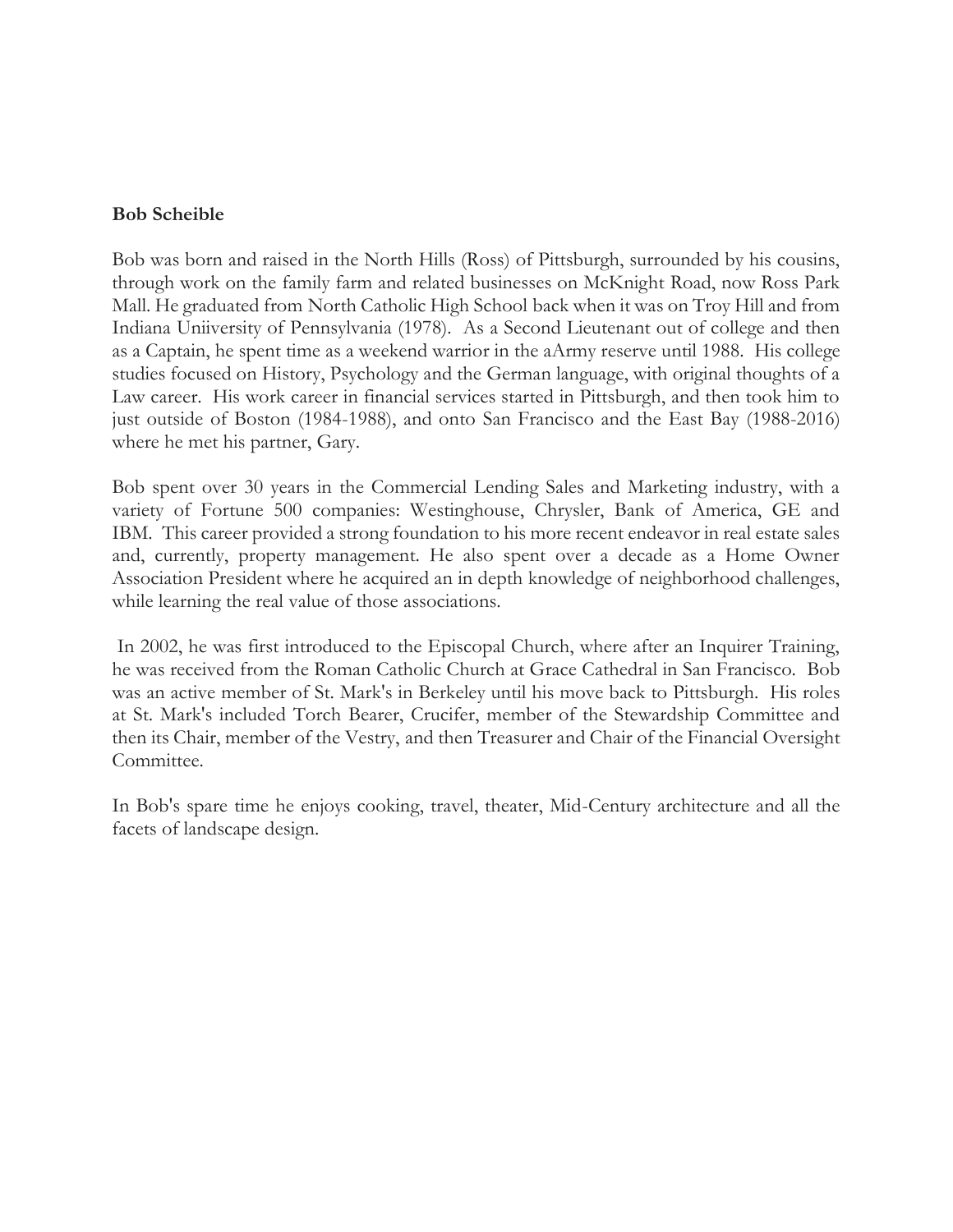#### **Bob Scheible**

Bob was born and raised in the North Hills (Ross) of Pittsburgh, surrounded by his cousins, through work on the family farm and related businesses on McKnight Road, now Ross Park Mall. He graduated from North Catholic High School back when it was on Troy Hill and from Indiana Uniiversity of Pennsylvania (1978). As a Second Lieutenant out of college and then as a Captain, he spent time as a weekend warrior in the aArmy reserve until 1988. His college studies focused on History, Psychology and the German language, with original thoughts of a Law career. His work career in financial services started in Pittsburgh, and then took him to just outside of Boston (1984-1988), and onto San Francisco and the East Bay (1988-2016) where he met his partner, Gary.

Bob spent over 30 years in the Commercial Lending Sales and Marketing industry, with a variety of Fortune 500 companies: Westinghouse, Chrysler, Bank of America, GE and IBM. This career provided a strong foundation to his more recent endeavor in real estate sales and, currently, property management. He also spent over a decade as a Home Owner Association President where he acquired an in depth knowledge of neighborhood challenges, while learning the real value of those associations.

In 2002, he was first introduced to the Episcopal Church, where after an Inquirer Training, he was received from the Roman Catholic Church at Grace Cathedral in San Francisco. Bob was an active member of St. Mark's in Berkeley until his move back to Pittsburgh. His roles at St. Mark's included Torch Bearer, Crucifer, member of the Stewardship Committee and then its Chair, member of the Vestry, and then Treasurer and Chair of the Financial Oversight Committee.

In Bob's spare time he enjoys cooking, travel, theater, Mid-Century architecture and all the facets of landscape design.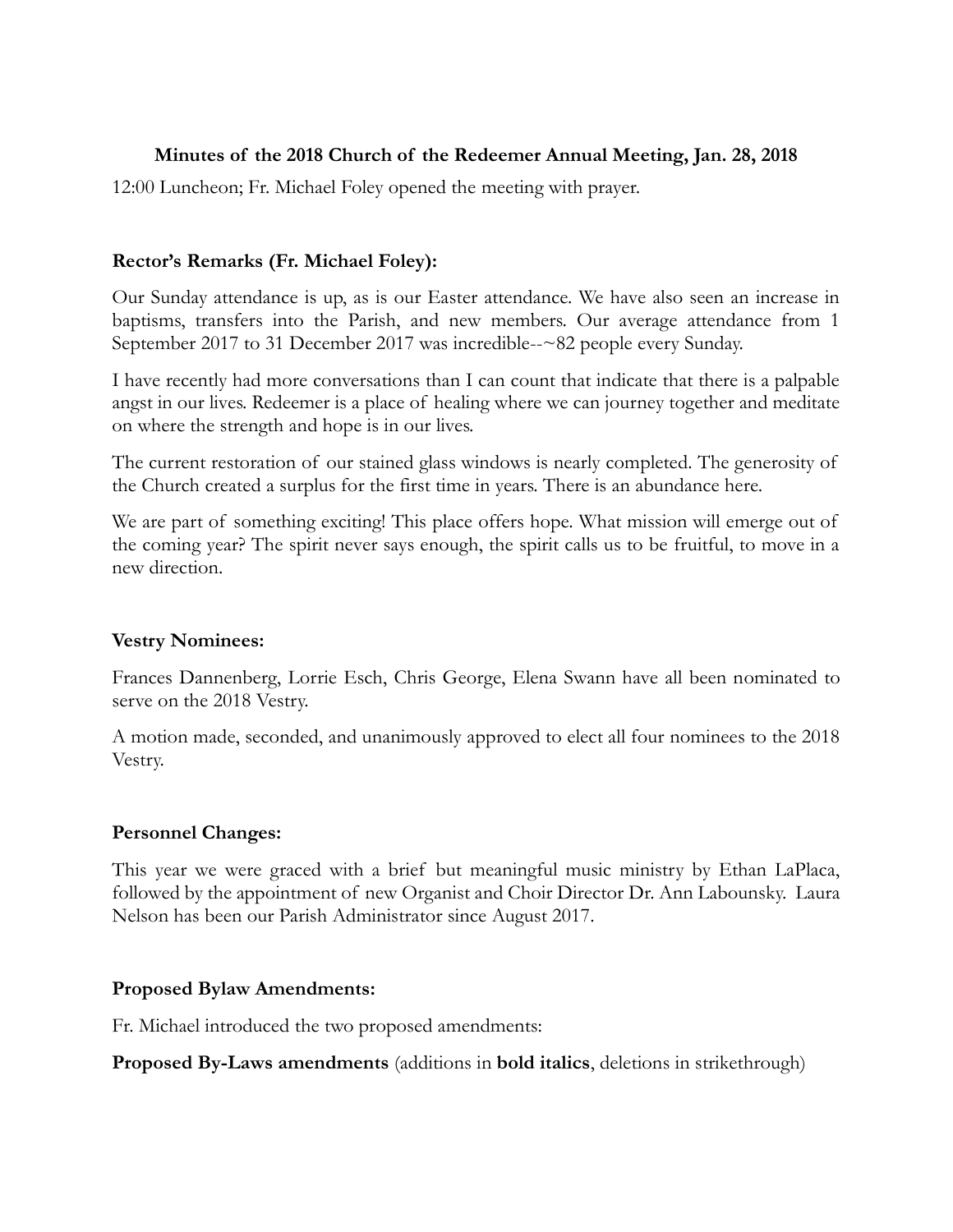### **Minutes of the 2018 Church of the Redeemer Annual Meeting, Jan. 28, 2018**

12:00 Luncheon; Fr. Michael Foley opened the meeting with prayer.

## **Rector's Remarks (Fr. Michael Foley):**

Our Sunday attendance is up, as is our Easter attendance. We have also seen an increase in baptisms, transfers into the Parish, and new members. Our average attendance from 1 September 2017 to 31 December 2017 was incredible--~82 people every Sunday.

I have recently had more conversations than I can count that indicate that there is a palpable angst in our lives. Redeemer is a place of healing where we can journey together and meditate on where the strength and hope is in our lives.

The current restoration of our stained glass windows is nearly completed. The generosity of the Church created a surplus for the first time in years. There is an abundance here.

We are part of something exciting! This place offers hope. What mission will emerge out of the coming year? The spirit never says enough, the spirit calls us to be fruitful, to move in a new direction.

#### **Vestry Nominees:**

Frances Dannenberg, Lorrie Esch, Chris George, Elena Swann have all been nominated to serve on the 2018 Vestry.

A motion made, seconded, and unanimously approved to elect all four nominees to the 2018 Vestry.

#### **Personnel Changes:**

This year we were graced with a brief but meaningful music ministry by Ethan LaPlaca, followed by the appointment of new Organist and Choir Director Dr. Ann Labounsky. Laura Nelson has been our Parish Administrator since August 2017.

#### **Proposed Bylaw Amendments:**

Fr. Michael introduced the two proposed amendments:

**Proposed By-Laws amendments** (additions in **bold italics**, deletions in strikethrough)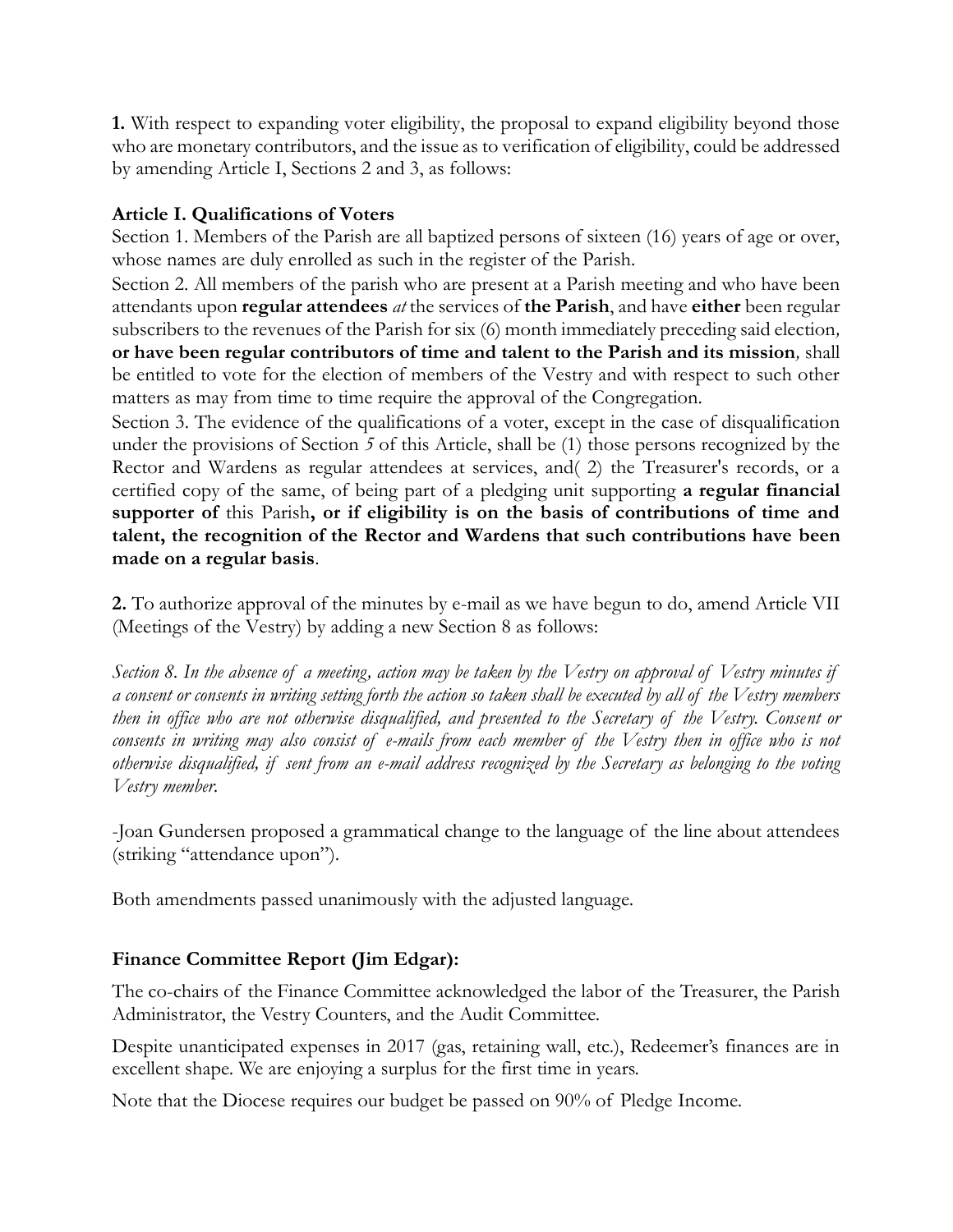**1.** With respect to expanding voter eligibility, the proposal to expand eligibility beyond those who are monetary contributors, and the issue as to verification of eligibility, could be addressed by amending Article I, Sections 2 and 3, as follows:

## **Article I. Qualifications of Voters**

Section 1. Members of the Parish are all baptized persons of sixteen (16) years of age or over, whose names are duly enrolled as such in the register of the Parish.

Section 2. All members of the parish who are present at a Parish meeting and who have been attendants upon **regular attendees** *at* the services of **the Parish**, and have **either** been regular subscribers to the revenues of the Parish for six (6) month immediately preceding said election*,*  **or have been regular contributors of time and talent to the Parish and its mission***,* shall be entitled to vote for the election of members of the Vestry and with respect to such other matters as may from time to time require the approval of the Congregation.

Section 3. The evidence of the qualifications of a voter, except in the case of disqualification under the provisions of Section *5* of this Article, shall be (1) those persons recognized by the Rector and Wardens as regular attendees at services, and( 2) the Treasurer's records, or a certified copy of the same, of being part of a pledging unit supporting **a regular financial supporter of** this Parish**, or if eligibility is on the basis of contributions of time and talent, the recognition of the Rector and Wardens that such contributions have been made on a regular basis**.

**2.** To authorize approval of the minutes by e-mail as we have begun to do, amend Article VII (Meetings of the Vestry) by adding a new Section 8 as follows:

*Section 8. In the absence of a meeting, action may be taken by the Vestry on approval of Vestry minutes if a consent or consents in writing setting forth the action so taken shall be executed by all of the Vestry members then in office who are not otherwise disqualified, and presented to the Secretary of the Vestry. Consent or consents in writing may also consist of e-mails from each member of the Vestry then in office who is not otherwise disqualified, if sent from an e-mail address recognized by the Secretary as belonging to the voting Vestry member.*

-Joan Gundersen proposed a grammatical change to the language of the line about attendees (striking "attendance upon").

Both amendments passed unanimously with the adjusted language.

## **Finance Committee Report (Jim Edgar):**

The co-chairs of the Finance Committee acknowledged the labor of the Treasurer, the Parish Administrator, the Vestry Counters, and the Audit Committee.

Despite unanticipated expenses in 2017 (gas, retaining wall, etc.), Redeemer's finances are in excellent shape. We are enjoying a surplus for the first time in years.

Note that the Diocese requires our budget be passed on 90% of Pledge Income.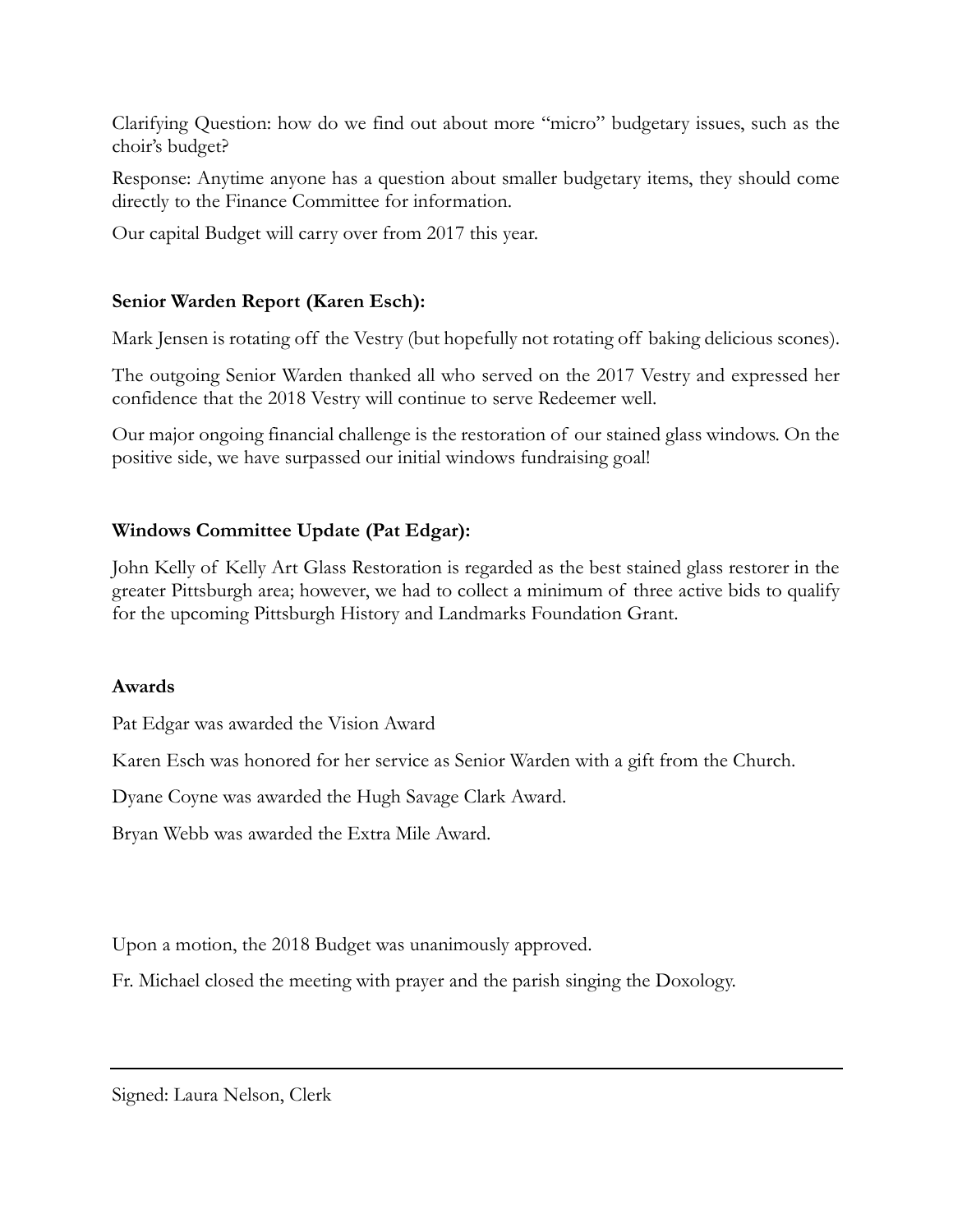Clarifying Question: how do we find out about more "micro" budgetary issues, such as the choir's budget?

Response: Anytime anyone has a question about smaller budgetary items, they should come directly to the Finance Committee for information.

Our capital Budget will carry over from 2017 this year.

## **Senior Warden Report (Karen Esch):**

Mark Jensen is rotating off the Vestry (but hopefully not rotating off baking delicious scones).

The outgoing Senior Warden thanked all who served on the 2017 Vestry and expressed her confidence that the 2018 Vestry will continue to serve Redeemer well.

Our major ongoing financial challenge is the restoration of our stained glass windows. On the positive side, we have surpassed our initial windows fundraising goal!

## **Windows Committee Update (Pat Edgar):**

John Kelly of Kelly Art Glass Restoration is regarded as the best stained glass restorer in the greater Pittsburgh area; however, we had to collect a minimum of three active bids to qualify for the upcoming Pittsburgh History and Landmarks Foundation Grant.

#### **Awards**

Pat Edgar was awarded the Vision Award

Karen Esch was honored for her service as Senior Warden with a gift from the Church.

Dyane Coyne was awarded the Hugh Savage Clark Award.

Bryan Webb was awarded the Extra Mile Award.

Upon a motion, the 2018 Budget was unanimously approved.

Fr. Michael closed the meeting with prayer and the parish singing the Doxology.